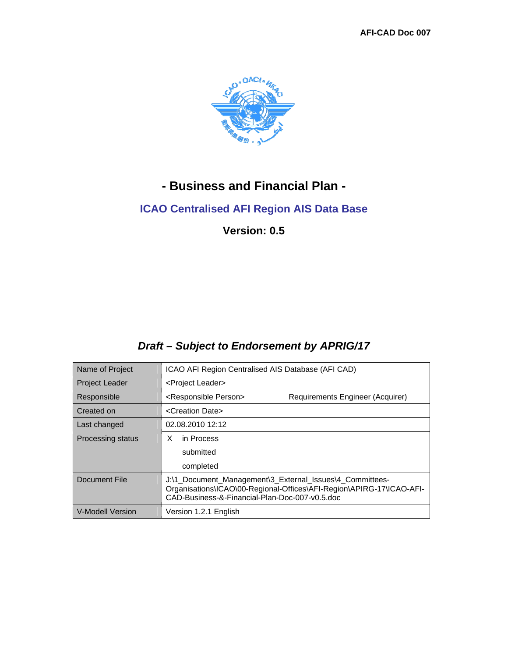

# **- Business and Financial Plan -**

## **ICAO Centralised AFI Region AIS Data Base**

**Version: 0.5** 

## *Draft – Subject to Endorsement by APRIG/17*

| Name of Project          | ICAO AFI Region Centralised AIS Database (AFI CAD)                                                                                                                                 |                               |  |  |  |
|--------------------------|------------------------------------------------------------------------------------------------------------------------------------------------------------------------------------|-------------------------------|--|--|--|
| <b>Project Leader</b>    |                                                                                                                                                                                    | <project leader=""></project> |  |  |  |
| Responsible              | <responsible person=""><br/>Requirements Engineer (Acquirer)</responsible>                                                                                                         |                               |  |  |  |
| Created on               | <creation date=""></creation>                                                                                                                                                      |                               |  |  |  |
| Last changed             | 02.08.2010 12:12                                                                                                                                                                   |                               |  |  |  |
| <b>Processing status</b> | X                                                                                                                                                                                  | in Process                    |  |  |  |
|                          |                                                                                                                                                                                    | submitted                     |  |  |  |
|                          |                                                                                                                                                                                    | completed                     |  |  |  |
| Document File            | J:\1_Document_Management\3_External_Issues\4_Committees-<br>Organisations\ICAO\00-Regional-Offices\AFI-Region\APIRG-17\ICAO-AFI-<br>CAD-Business-&-Financial-Plan-Doc-007-y0.5.doc |                               |  |  |  |
| <b>V-Modell Version</b>  | Version 1.2.1 English                                                                                                                                                              |                               |  |  |  |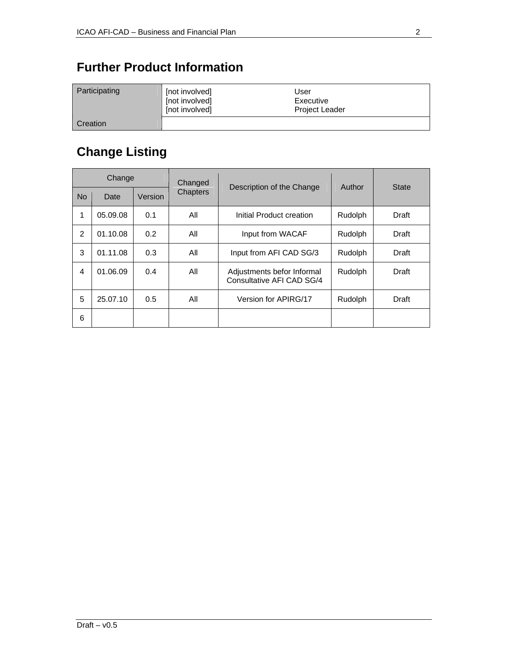# **Further Product Information**

| Participating | [not involved]<br>[not involved]<br>[not involved] | User<br>Executive<br><b>Project Leader</b> |
|---------------|----------------------------------------------------|--------------------------------------------|
| Creation      |                                                    |                                            |

# **Change Listing**

| Change    |          | Changed |          |                                                         |         |              |
|-----------|----------|---------|----------|---------------------------------------------------------|---------|--------------|
| <b>No</b> | Date     | Version | Chapters | Description of the Change                               | Author  | <b>State</b> |
| 1         | 05.09.08 | 0.1     | All      | Initial Product creation                                | Rudolph | Draft        |
| 2         | 01.10.08 | 0.2     | All      | Input from WACAF                                        | Rudolph | Draft        |
| 3         | 01.11.08 | 0.3     | All      | Input from AFI CAD SG/3                                 | Rudolph | Draft        |
| 4         | 01.06.09 | 0.4     | All      | Adjustments befor Informal<br>Consultative AFI CAD SG/4 | Rudolph | Draft        |
| 5         | 25.07.10 | 0.5     | All      | Version for APIRG/17                                    | Rudolph | Draft        |
| 6         |          |         |          |                                                         |         |              |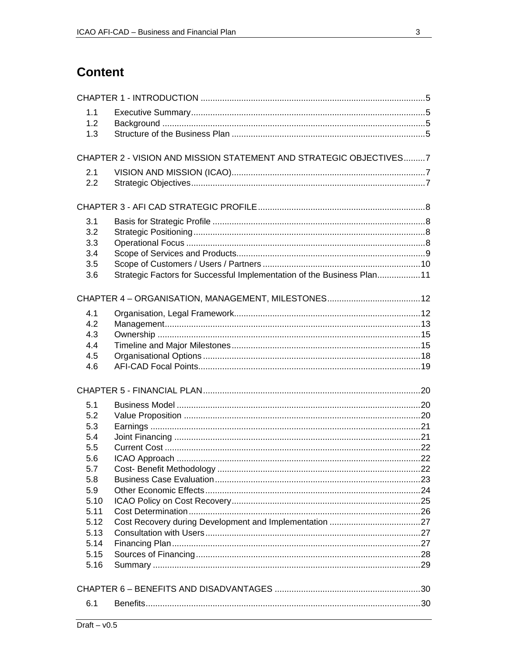## **Content**

| 1.1        |                                                                        |  |
|------------|------------------------------------------------------------------------|--|
| 1.2        |                                                                        |  |
| 1.3        |                                                                        |  |
|            |                                                                        |  |
|            | CHAPTER 2 - VISION AND MISSION STATEMENT AND STRATEGIC OBJECTIVES7     |  |
| 2.1        |                                                                        |  |
| 2.2        |                                                                        |  |
|            |                                                                        |  |
| 3.1        |                                                                        |  |
| 3.2        |                                                                        |  |
| 3.3        |                                                                        |  |
| 3.4        |                                                                        |  |
| 3.5        |                                                                        |  |
| 3.6        | Strategic Factors for Successful Implementation of the Business Plan11 |  |
|            |                                                                        |  |
| 4.1        |                                                                        |  |
| 4.2        |                                                                        |  |
| 4.3        |                                                                        |  |
| 4.4        |                                                                        |  |
| 4.5        |                                                                        |  |
| 4.6        |                                                                        |  |
|            |                                                                        |  |
|            |                                                                        |  |
| 5.1<br>5.2 |                                                                        |  |
| 5.3        |                                                                        |  |
| 5.4        |                                                                        |  |
| 5.5        |                                                                        |  |
| 5.6        |                                                                        |  |
| 5.7        |                                                                        |  |
| 5.8        |                                                                        |  |
| 5.9        |                                                                        |  |
| 5.10       |                                                                        |  |
| 5.11       |                                                                        |  |
| 5.12       |                                                                        |  |
| 5.13       |                                                                        |  |
| 5.14       |                                                                        |  |
| 5.15       |                                                                        |  |
| 5.16       |                                                                        |  |
|            |                                                                        |  |
| 6.1        |                                                                        |  |
|            |                                                                        |  |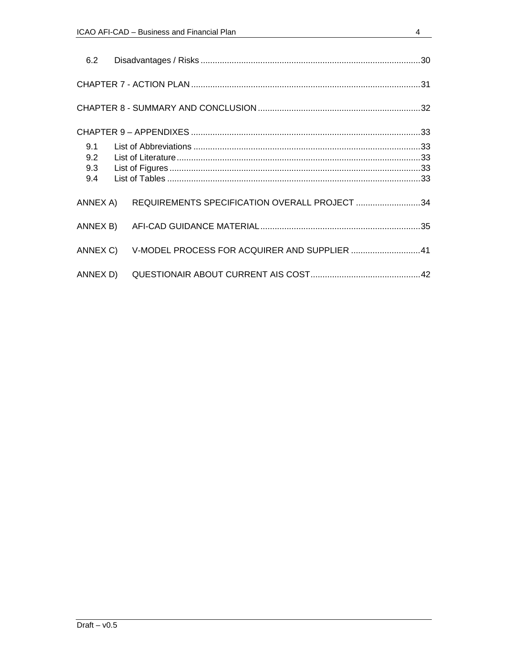| 6.2 |                                                        |  |
|-----|--------------------------------------------------------|--|
|     |                                                        |  |
|     |                                                        |  |
|     |                                                        |  |
| 9.1 |                                                        |  |
| 9.2 |                                                        |  |
| 9.3 |                                                        |  |
| 9.4 |                                                        |  |
|     | ANNEX A) REQUIREMENTS SPECIFICATION OVERALL PROJECT 34 |  |
|     |                                                        |  |
|     | ANNEX C) V-MODEL PROCESS FOR ACQUIRER AND SUPPLIER 41  |  |
|     |                                                        |  |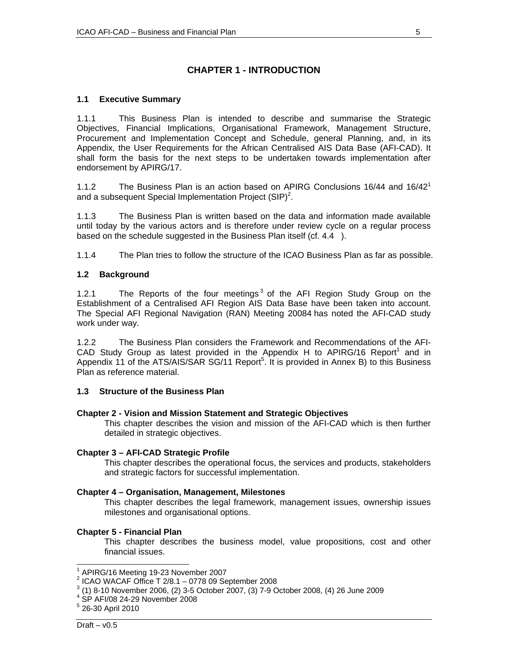## **CHAPTER 1 - INTRODUCTION**

#### **1.1 Executive Summary**

1.1.1 This Business Plan is intended to describe and summarise the Strategic Objectives, Financial Implications, Organisational Framework, Management Structure, Procurement and Implementation Concept and Schedule, general Planning, and, in its Appendix, the User Requirements for the African Centralised AIS Data Base (AFI-CAD). It shall form the basis for the next steps to be undertaken towards implementation after endorsement by APIRG/17.

1.1.2 The Business Plan is an action based on APIRG Conclusions 16/44 and 16/42<sup>1</sup> and a subsequent Special Implementation Project  $(SIP)^2$ .

1.1.3 The Business Plan is written based on the data and information made available until today by the various actors and is therefore under review cycle on a regular process based on the schedule suggested in the Business Plan itself (cf. 4.4 ).

1.1.4 The Plan tries to follow the structure of the ICAO Business Plan as far as possible.

#### **1.2 Background**

1.2.1 The Reports of the four meetings<sup>3</sup> of the AFI Region Study Group on the Establishment of a Centralised AFI Region AIS Data Base have been taken into account. The Special AFI Regional Navigation (RAN) Meeting 20084 has noted the AFI-CAD study work under way.

1.2.2 The Business Plan considers the Framework and Recommendations of the AFI-CAD Study Group as latest provided in the Appendix H to APIRG/16 Report<sup>1</sup> and in Appendix 11 of the ATS/AIS/SAR SG/11 Report<sup>5</sup>. It is provided in Annex B) to this Business Plan as reference material.

#### **1.3 Structure of the Business Plan**

#### **Chapter 2 - Vision and Mission Statement and Strategic Objectives**

This chapter describes the vision and mission of the AFI-CAD which is then further detailed in strategic objectives.

#### **Chapter 3 – AFI-CAD Strategic Profile**

This chapter describes the operational focus, the services and products, stakeholders and strategic factors for successful implementation.

#### **Chapter 4 – Organisation, Management, Milestones**

This chapter describes the legal framework, management issues, ownership issues milestones and organisational options.

#### **Chapter 5 - Financial Plan**

This chapter describes the business model, value propositions, cost and other financial issues.

 1 APIRG/16 Meeting 19-23 November 2007

<sup>2</sup> ICAO WACAF Office T 2/8.1 – 0778 09 September 2008

<sup>3</sup> (1) 8-10 November 2006, (2) 3-5 October 2007, (3) 7-9 October 2008, (4) 26 June 2009

<sup>4</sup> SP AFI/08 24-29 November 2008

<sup>5</sup> 26-30 April 2010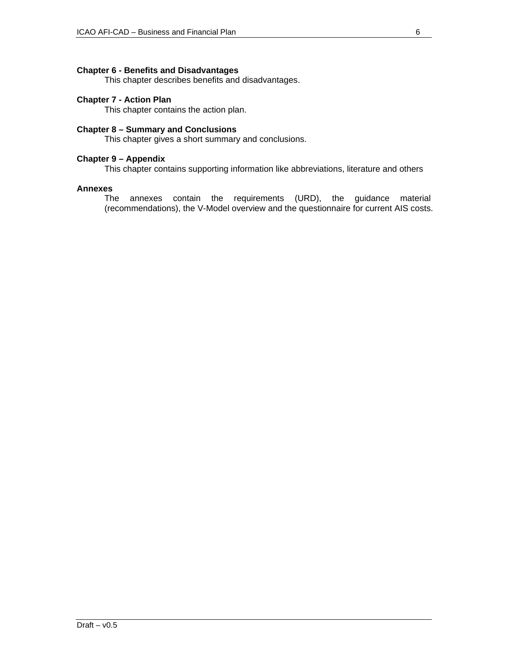#### **Chapter 6 - Benefits and Disadvantages**

This chapter describes benefits and disadvantages.

## **Chapter 7 - Action Plan**

This chapter contains the action plan.

### **Chapter 8 – Summary and Conclusions**

This chapter gives a short summary and conclusions.

#### **Chapter 9 – Appendix**

This chapter contains supporting information like abbreviations, literature and others

#### **Annexes**

The annexes contain the requirements (URD), the guidance material (recommendations), the V-Model overview and the questionnaire for current AIS costs.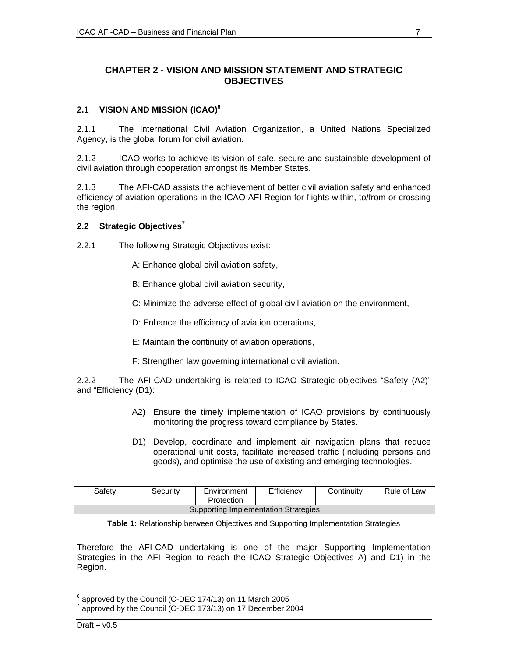## **CHAPTER 2 - VISION AND MISSION STATEMENT AND STRATEGIC OBJECTIVES**

## **2.1 VISION AND MISSION (ICAO)6**

2.1.1 The International Civil Aviation Organization, a United Nations Specialized Agency, is the global forum for civil aviation.

2.1.2 ICAO works to achieve its vision of safe, secure and sustainable development of civil aviation through cooperation amongst its Member States.

2.1.3 The AFI-CAD assists the achievement of better civil aviation safety and enhanced efficiency of aviation operations in the ICAO AFI Region for flights within, to/from or crossing the region.

## **2.2 Strategic Objectives7**

2.2.1 The following Strategic Objectives exist:

A: Enhance global civil aviation safety,

- B: Enhance global civil aviation security,
- C: Minimize the adverse effect of global civil aviation on the environment,
- D: Enhance the efficiency of aviation operations,
- E: Maintain the continuity of aviation operations,
- F: Strengthen law governing international civil aviation.

2.2.2 The AFI-CAD undertaking is related to ICAO Strategic objectives "Safety (A2)" and "Efficiency (D1):

- A2) Ensure the timely implementation of ICAO provisions by continuously monitoring the progress toward compliance by States.
- D1) Develop, coordinate and implement air navigation plans that reduce operational unit costs, facilitate increased traffic (including persons and goods), and optimise the use of existing and emerging technologies.

| Safetv                               | Securitv | Environment<br>Protection | Efficiency | Continuity | Rule of Law |
|--------------------------------------|----------|---------------------------|------------|------------|-------------|
| Supporting Implementation Strategies |          |                           |            |            |             |

**Table 1:** Relationship between Objectives and Supporting Implementation Strategies

Therefore the AFI-CAD undertaking is one of the major Supporting Implementation Strategies in the AFI Region to reach the ICAO Strategic Objectives A) and D1) in the Region.

 $\frac{6}{6}$  approved by the Council (C-DEC 174/13) on 11 March 2005

<sup>7</sup> approved by the Council (C-DEC 173/13) on 17 December 2004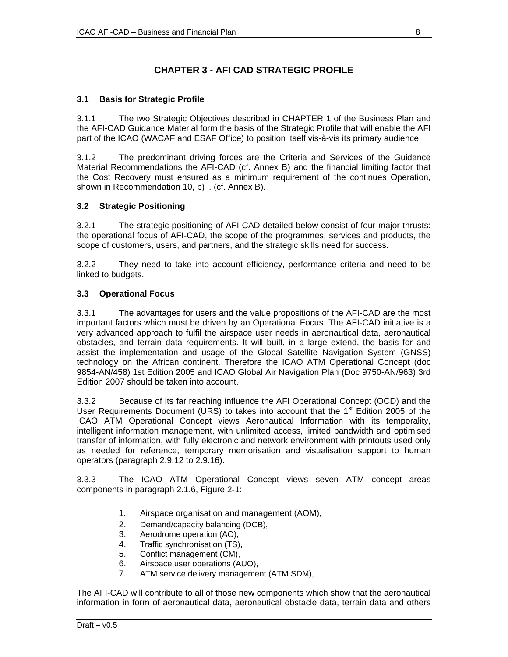## **CHAPTER 3 - AFI CAD STRATEGIC PROFILE**

## **3.1 Basis for Strategic Profile**

3.1.1 The two Strategic Objectives described in CHAPTER 1 of the Business Plan and the AFI-CAD Guidance Material form the basis of the Strategic Profile that will enable the AFI part of the ICAO (WACAF and ESAF Office) to position itself vis-à-vis its primary audience.

3.1.2 The predominant driving forces are the Criteria and Services of the Guidance Material Recommendations the AFI-CAD (cf. Annex B) and the financial limiting factor that the Cost Recovery must ensured as a minimum requirement of the continues Operation, shown in Recommendation 10, b) i. (cf. Annex B).

## **3.2 Strategic Positioning**

3.2.1 The strategic positioning of AFI-CAD detailed below consist of four major thrusts: the operational focus of AFI-CAD, the scope of the programmes, services and products, the scope of customers, users, and partners, and the strategic skills need for success.

3.2.2 They need to take into account efficiency, performance criteria and need to be linked to budgets.

## **3.3 Operational Focus**

3.3.1 The advantages for users and the value propositions of the AFI-CAD are the most important factors which must be driven by an Operational Focus. The AFI-CAD initiative is a very advanced approach to fulfil the airspace user needs in aeronautical data, aeronautical obstacles, and terrain data requirements. It will built, in a large extend, the basis for and assist the implementation and usage of the Global Satellite Navigation System (GNSS) technology on the African continent. Therefore the ICAO ATM Operational Concept (doc 9854-AN/458) 1st Edition 2005 and ICAO Global Air Navigation Plan (Doc 9750-AN/963) 3rd Edition 2007 should be taken into account.

3.3.2 Because of its far reaching influence the AFI Operational Concept (OCD) and the User Requirements Document (URS) to takes into account that the  $1<sup>st</sup>$  Edition 2005 of the ICAO ATM Operational Concept views Aeronautical Information with its temporality, intelligent information management, with unlimited access, limited bandwidth and optimised transfer of information, with fully electronic and network environment with printouts used only as needed for reference, temporary memorisation and visualisation support to human operators (paragraph 2.9.12 to 2.9.16).

3.3.3 The ICAO ATM Operational Concept views seven ATM concept areas components in paragraph 2.1.6, Figure 2-1:

- 1. Airspace organisation and management (AOM),
- 2. Demand/capacity balancing (DCB),
- 3. Aerodrome operation (AO),
- 4. Traffic synchronisation (TS),
- 5. Conflict management (CM),
- 6. Airspace user operations (AUO),
- 7. ATM service delivery management (ATM SDM),

The AFI-CAD will contribute to all of those new components which show that the aeronautical information in form of aeronautical data, aeronautical obstacle data, terrain data and others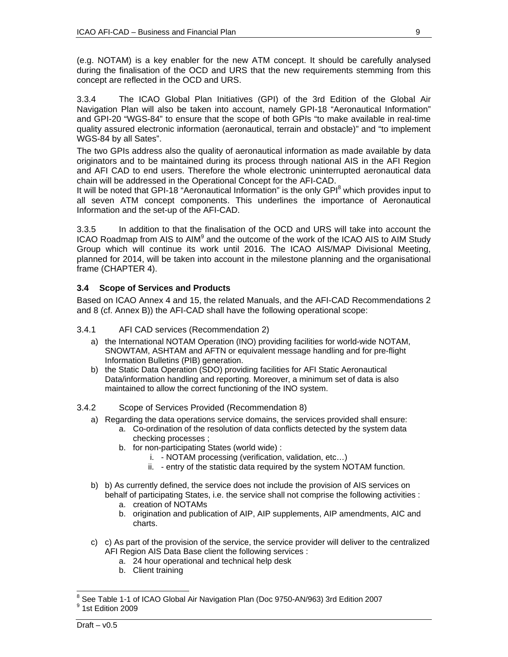(e.g. NOTAM) is a key enabler for the new ATM concept. It should be carefully analysed during the finalisation of the OCD and URS that the new requirements stemming from this concept are reflected in the OCD and URS.

3.3.4 The ICAO Global Plan Initiatives (GPI) of the 3rd Edition of the Global Air Navigation Plan will also be taken into account, namely GPI-18 "Aeronautical Information" and GPI-20 "WGS-84" to ensure that the scope of both GPIs "to make available in real-time quality assured electronic information (aeronautical, terrain and obstacle)" and "to implement WGS-84 by all Sates".

The two GPIs address also the quality of aeronautical information as made available by data originators and to be maintained during its process through national AIS in the AFI Region and AFI CAD to end users. Therefore the whole electronic uninterrupted aeronautical data chain will be addressed in the Operational Concept for the AFI-CAD.

It will be noted that GPI-18 "Aeronautical Information" is the only GPI<sup>8</sup> which provides input to all seven ATM concept components. This underlines the importance of Aeronautical Information and the set-up of the AFI-CAD.

3.3.5 In addition to that the finalisation of the OCD and URS will take into account the ICAO Roadmap from AIS to AIM $9$  and the outcome of the work of the ICAO AIS to AIM Study Group which will continue its work until 2016. The ICAO AIS/MAP Divisional Meeting, planned for 2014, will be taken into account in the milestone planning and the organisational frame (CHAPTER 4).

## **3.4 Scope of Services and Products**

Based on ICAO Annex 4 and 15, the related Manuals, and the AFI-CAD Recommendations 2 and 8 (cf. Annex B)) the AFI-CAD shall have the following operational scope:

- 3.4.1 AFI CAD services (Recommendation 2)
	- a) the International NOTAM Operation (INO) providing facilities for world-wide NOTAM, SNOWTAM, ASHTAM and AFTN or equivalent message handling and for pre-flight Information Bulletins (PIB) generation.
	- b) the Static Data Operation (SDO) providing facilities for AFI Static Aeronautical Data/information handling and reporting. Moreover, a minimum set of data is also maintained to allow the correct functioning of the INO system.
- 3.4.2 Scope of Services Provided (Recommendation 8)
	- a) Regarding the data operations service domains, the services provided shall ensure:
		- a. Co-ordination of the resolution of data conflicts detected by the system data checking processes ;
			- b. for non-participating States (world wide) :
				- i. NOTAM processing (verification, validation, etc…)
				- ii. entry of the statistic data required by the system NOTAM function.
	- b) b) As currently defined, the service does not include the provision of AIS services on behalf of participating States, i.e. the service shall not comprise the following activities :
		- a. creation of NOTAMs
		- b. origination and publication of AIP, AIP supplements, AIP amendments, AIC and charts.
	- c) c) As part of the provision of the service, the service provider will deliver to the centralized AFI Region AIS Data Base client the following services :
		- a. 24 hour operational and technical help desk
		- b. Client training

 8 See Table 1-1 of ICAO Global Air Navigation Plan (Doc 9750-AN/963) 3rd Edition 2007 <sup>9</sup> 1st Edition 2009

Draft –  $v0.5$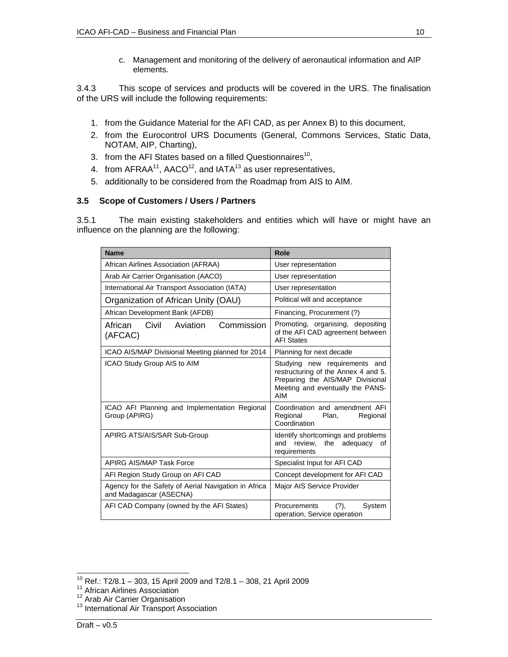c. Management and monitoring of the delivery of aeronautical information and AIP elements.

3.4.3 This scope of services and products will be covered in the URS. The finalisation of the URS will include the following requirements:

- 1. from the Guidance Material for the AFI CAD, as per Annex B) to this document,
- 2. from the Eurocontrol URS Documents (General, Commons Services, Static Data, NOTAM, AIP, Charting),
- 3. from the AFI States based on a filled Questionnaires<sup>10</sup>,
- 4. from  $AFRAA^{11}$ ,  $AACO^{12}$ , and  $ATA^{13}$  as user representatives,
- 5. additionally to be considered from the Roadmap from AIS to AIM.

## **3.5 Scope of Customers / Users / Partners**

3.5.1 The main existing stakeholders and entities which will have or might have an influence on the planning are the following:

| <b>Name</b>                                                                     | <b>Role</b>                                                                                                                                         |  |
|---------------------------------------------------------------------------------|-----------------------------------------------------------------------------------------------------------------------------------------------------|--|
| African Airlines Association (AFRAA)                                            | User representation                                                                                                                                 |  |
| Arab Air Carrier Organisation (AACO)                                            | User representation                                                                                                                                 |  |
| International Air Transport Association (IATA)                                  | User representation                                                                                                                                 |  |
| Organization of African Unity (OAU)                                             | Political will and acceptance                                                                                                                       |  |
| African Development Bank (AFDB)                                                 | Financing, Procurement (?)                                                                                                                          |  |
| Civil<br>Aviation<br>Commission<br>African<br>(AFCAC)                           | Promoting, organising, depositing<br>of the AFI CAD agreement between<br><b>AFI States</b>                                                          |  |
| ICAO AIS/MAP Divisional Meeting planned for 2014                                | Planning for next decade                                                                                                                            |  |
| ICAO Study Group AIS to AIM                                                     | Studying new requirements and<br>restructuring of the Annex 4 and 5.<br>Preparing the AIS/MAP Divisional<br>Meeting and eventually the PANS-<br>AIM |  |
| ICAO AFI Planning and Implementation Regional<br>Group (APIRG)                  | Coordination and amendment AFI<br>Regional<br>Plan.<br>Regional<br>Coordination                                                                     |  |
| APIRG ATS/AIS/SAR Sub-Group                                                     | Identify shortcomings and problems<br>adequacy<br>and<br>review.<br>the<br>0f<br>requirements                                                       |  |
| APIRG AIS/MAP Task Force                                                        | Specialist Input for AFI CAD                                                                                                                        |  |
| AFI Region Study Group on AFI CAD                                               | Concept development for AFI CAD                                                                                                                     |  |
| Agency for the Safety of Aerial Navigation in Africa<br>and Madagascar (ASECNA) | Major AIS Service Provider                                                                                                                          |  |
| AFI CAD Company (owned by the AFI States)                                       | System<br>Procurements<br>$(?)$ ,<br>operation, Service operation                                                                                   |  |

- 
- 
- 

l

<sup>&</sup>lt;sup>10</sup> Ref.: T2/8.1 – 303, 15 April 2009 and T2/8.1 – 308, 21 April 2009<br><sup>11</sup> African Airlines Association<br><sup>12</sup> Arab Air Carrier Organisation 13 International Air Transport Association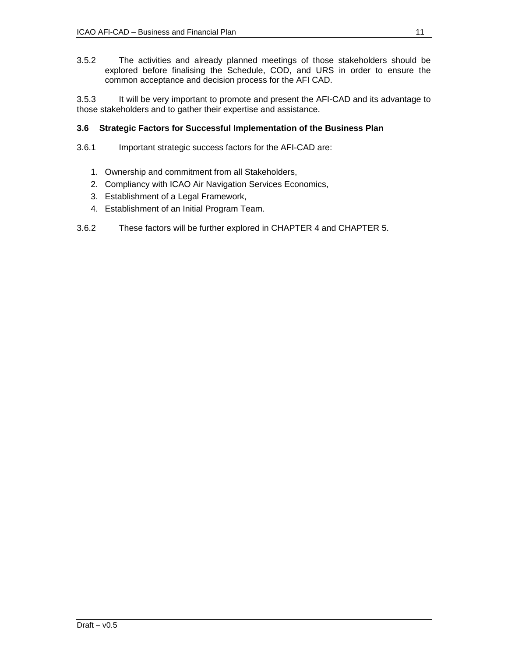3.5.2 The activities and already planned meetings of those stakeholders should be explored before finalising the Schedule, COD, and URS in order to ensure the common acceptance and decision process for the AFI CAD.

3.5.3 It will be very important to promote and present the AFI-CAD and its advantage to those stakeholders and to gather their expertise and assistance.

## **3.6 Strategic Factors for Successful Implementation of the Business Plan**

- 3.6.1 Important strategic success factors for the AFI-CAD are:
	- 1. Ownership and commitment from all Stakeholders,
	- 2. Compliancy with ICAO Air Navigation Services Economics,
	- 3. Establishment of a Legal Framework,
	- 4. Establishment of an Initial Program Team.
- 3.6.2 These factors will be further explored in CHAPTER 4 and CHAPTER 5.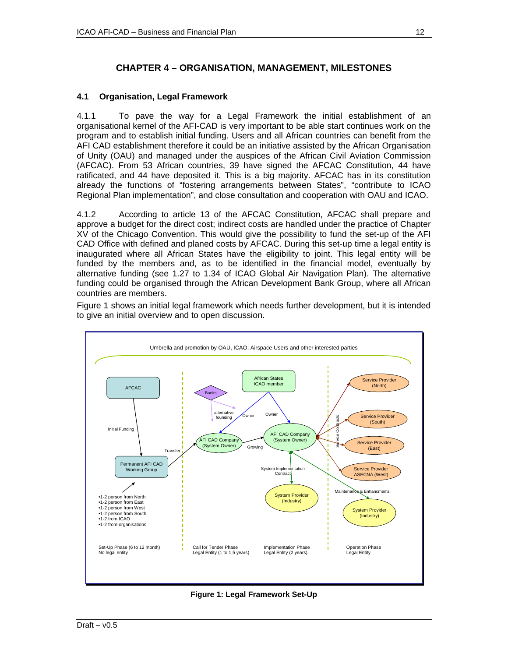## **CHAPTER 4 – ORGANISATION, MANAGEMENT, MILESTONES**

## **4.1 Organisation, Legal Framework**

4.1.1 To pave the way for a Legal Framework the initial establishment of an organisational kernel of the AFI-CAD is very important to be able start continues work on the program and to establish initial funding. Users and all African countries can benefit from the AFI CAD establishment therefore it could be an initiative assisted by the African Organisation of Unity (OAU) and managed under the auspices of the African Civil Aviation Commission (AFCAC). From 53 African countries, 39 have signed the AFCAC Constitution, 44 have ratificated, and 44 have deposited it. This is a big majority. AFCAC has in its constitution already the functions of "fostering arrangements between States", "contribute to ICAO Regional Plan implementation", and close consultation and cooperation with OAU and ICAO.

4.1.2 According to article 13 of the AFCAC Constitution, AFCAC shall prepare and approve a budget for the direct cost; indirect costs are handled under the practice of Chapter XV of the Chicago Convention. This would give the possibility to fund the set-up of the AFI CAD Office with defined and planed costs by AFCAC. During this set-up time a legal entity is inaugurated where all African States have the eligibility to joint. This legal entity will be funded by the members and, as to be identified in the financial model, eventually by alternative funding (see 1.27 to 1.34 of ICAO Global Air Navigation Plan). The alternative funding could be organised through the African Development Bank Group, where all African countries are members.

Figure 1 shows an initial legal framework which needs further development, but it is intended to give an initial overview and to open discussion.



**Figure 1: Legal Framework Set-Up**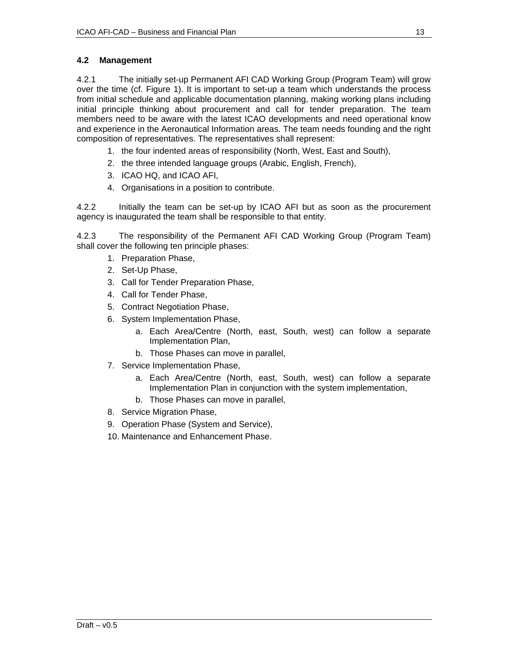## **4.2 Management**

4.2.1 The initially set-up Permanent AFI CAD Working Group (Program Team) will grow over the time (cf. Figure 1). It is important to set-up a team which understands the process from initial schedule and applicable documentation planning, making working plans including initial principle thinking about procurement and call for tender preparation. The team members need to be aware with the latest ICAO developments and need operational know and experience in the Aeronautical Information areas. The team needs founding and the right composition of representatives. The representatives shall represent:

- 1. the four indented areas of responsibility (North, West, East and South),
- 2. the three intended language groups (Arabic, English, French),
- 3. ICAO HQ, and ICAO AFI,
- 4. Organisations in a position to contribute.

4.2.2 Initially the team can be set-up by ICAO AFI but as soon as the procurement agency is inaugurated the team shall be responsible to that entity.

4.2.3 The responsibility of the Permanent AFI CAD Working Group (Program Team) shall cover the following ten principle phases:

- 1. Preparation Phase,
- 2. Set-Up Phase,
- 3. Call for Tender Preparation Phase,
- 4. Call for Tender Phase,
- 5. Contract Negotiation Phase,
- 6. System Implementation Phase,
	- a. Each Area/Centre (North, east, South, west) can follow a separate Implementation Plan,
	- b. Those Phases can move in parallel,
- 7. Service Implementation Phase,
	- a. Each Area/Centre (North, east, South, west) can follow a separate Implementation Plan in conjunction with the system implementation,
	- b. Those Phases can move in parallel,
- 8. Service Migration Phase,
- 9. Operation Phase (System and Service),
- 10. Maintenance and Enhancement Phase.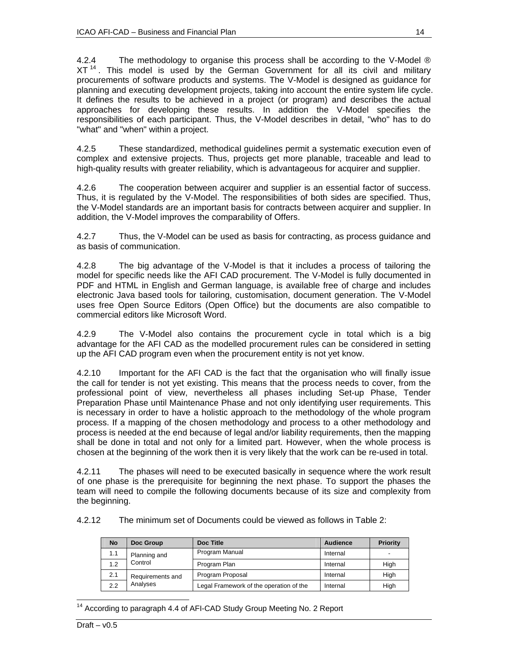4.2.4 The methodology to organise this process shall be according to the V-Model ® XT<sup>14</sup>. This model is used by the German Government for all its civil and military procurements of software products and systems. The V-Model is designed as guidance for planning and executing development projects, taking into account the entire system life cycle. It defines the results to be achieved in a project (or program) and describes the actual approaches for developing these results. In addition the V-Model specifies the responsibilities of each participant. Thus, the V-Model describes in detail, "who" has to do "what" and "when" within a project.

4.2.5 These standardized, methodical guidelines permit a systematic execution even of complex and extensive projects. Thus, projects get more planable, traceable and lead to high-quality results with greater reliability, which is advantageous for acquirer and supplier.

4.2.6 The cooperation between acquirer and supplier is an essential factor of success. Thus, it is regulated by the V-Model. The responsibilities of both sides are specified. Thus, the V-Model standards are an important basis for contracts between acquirer and supplier. In addition, the V-Model improves the comparability of Offers.

4.2.7 Thus, the V-Model can be used as basis for contracting, as process guidance and as basis of communication.

4.2.8 The big advantage of the V-Model is that it includes a process of tailoring the model for specific needs like the AFI CAD procurement. The V-Model is fully documented in PDF and HTML in English and German language, is available free of charge and includes electronic Java based tools for tailoring, customisation, document generation. The V-Model uses free Open Source Editors (Open Office) but the documents are also compatible to commercial editors like Microsoft Word.

4.2.9 The V-Model also contains the procurement cycle in total which is a big advantage for the AFI CAD as the modelled procurement rules can be considered in setting up the AFI CAD program even when the procurement entity is not yet know.

4.2.10 Important for the AFI CAD is the fact that the organisation who will finally issue the call for tender is not yet existing. This means that the process needs to cover, from the professional point of view, nevertheless all phases including Set-up Phase, Tender Preparation Phase until Maintenance Phase and not only identifying user requirements. This is necessary in order to have a holistic approach to the methodology of the whole program process. If a mapping of the chosen methodology and process to a other methodology and process is needed at the end because of legal and/or liability requirements, then the mapping shall be done in total and not only for a limited part. However, when the whole process is chosen at the beginning of the work then it is very likely that the work can be re-used in total.

4.2.11 The phases will need to be executed basically in sequence where the work result of one phase is the prerequisite for beginning the next phase. To support the phases the team will need to compile the following documents because of its size and complexity from the beginning.

4.2.12 The minimum set of Documents could be viewed as follows in Table 2:

| <b>No</b> | Doc Group        | Doc Title                               | <b>Audience</b> | <b>Priority</b> |
|-----------|------------------|-----------------------------------------|-----------------|-----------------|
| 1.1       | Planning and     | Program Manual                          | Internal        |                 |
| 1.2       | Control          | Program Plan                            | Internal        | High            |
| 2.1       | Requirements and | Program Proposal                        | Internal        | High            |
| 2.2       | Analyses         | Legal Framework of the operation of the | Internal        | High            |

 $\overline{a}$ <sup>14</sup> According to paragraph 4.4 of AFI-CAD Study Group Meeting No. 2 Report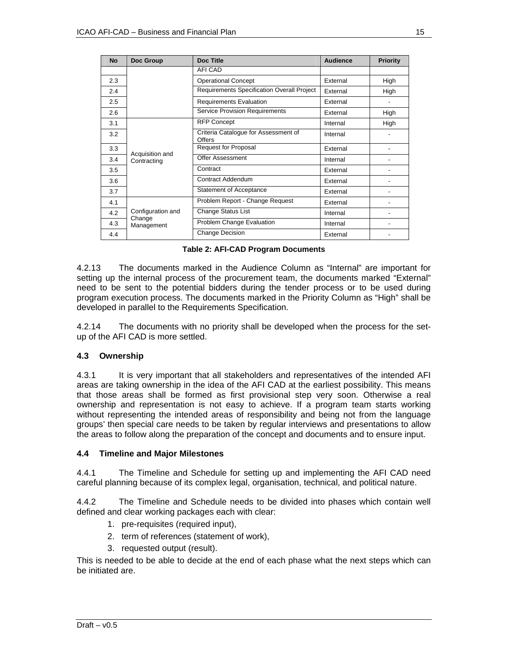| <b>No</b> | Doc Group            | Doc Title                                      | <b>Audience</b> | <b>Priority</b> |
|-----------|----------------------|------------------------------------------------|-----------------|-----------------|
|           |                      | AFI CAD                                        |                 |                 |
| 2.3       |                      | <b>Operational Concept</b>                     | External        | High            |
| 2.4       |                      | Requirements Specification Overall Project     | External        | High            |
| 2.5       |                      | <b>Requirements Evaluation</b>                 | External        |                 |
| 2.6       |                      | <b>Service Provision Requirements</b>          | External        | High            |
| 3.1       |                      | <b>RFP Concept</b>                             | Internal        | High            |
| 3.2       |                      | Criteria Catalogue for Assessment of<br>Offers | Internal        |                 |
| 3.3       | Acquisition and      | Request for Proposal                           | External        |                 |
| 3.4       | Contracting          | Offer Assessment                               | Internal        |                 |
| 3.5       |                      | Contract                                       | External        |                 |
| 3.6       |                      | <b>Contract Addendum</b>                       | External        |                 |
| 3.7       |                      | <b>Statement of Acceptance</b>                 | External        |                 |
| 4.1       |                      | Problem Report - Change Request                | External        |                 |
| 4.2       | Configuration and    | <b>Change Status List</b>                      | Internal        |                 |
| 4.3       | Change<br>Management | Problem Change Evaluation                      | Internal        |                 |
| 4.4       |                      | <b>Change Decision</b>                         | External        |                 |

**Table 2: AFI-CAD Program Documents** 

4.2.13 The documents marked in the Audience Column as "Internal" are important for setting up the internal process of the procurement team, the documents marked "External" need to be sent to the potential bidders during the tender process or to be used during program execution process. The documents marked in the Priority Column as "High" shall be developed in parallel to the Requirements Specification.

4.2.14 The documents with no priority shall be developed when the process for the setup of the AFI CAD is more settled.

## **4.3 Ownership**

4.3.1 It is very important that all stakeholders and representatives of the intended AFI areas are taking ownership in the idea of the AFI CAD at the earliest possibility. This means that those areas shall be formed as first provisional step very soon. Otherwise a real ownership and representation is not easy to achieve. If a program team starts working without representing the intended areas of responsibility and being not from the language groups' then special care needs to be taken by regular interviews and presentations to allow the areas to follow along the preparation of the concept and documents and to ensure input.

## **4.4 Timeline and Major Milestones**

4.4.1 The Timeline and Schedule for setting up and implementing the AFI CAD need careful planning because of its complex legal, organisation, technical, and political nature.

4.4.2 The Timeline and Schedule needs to be divided into phases which contain well defined and clear working packages each with clear:

- 1. pre-requisites (required input),
- 2. term of references (statement of work),
- 3. requested output (result).

This is needed to be able to decide at the end of each phase what the next steps which can be initiated are.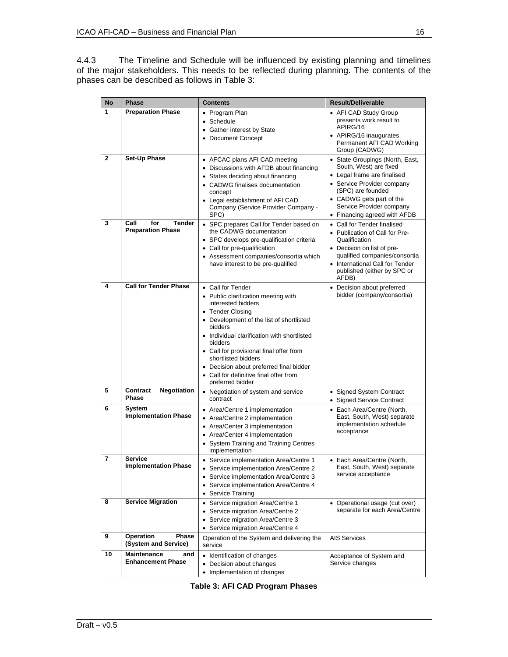4.4.3 The Timeline and Schedule will be influenced by existing planning and timelines of the major stakeholders. This needs to be reflected during planning. The contents of the phases can be described as follows in Table 3:

| <b>No</b>    | <b>Phase</b>                                             | <b>Contents</b>                                                                                                                                                                                                                                                                                                                                                                                | <b>Result/Deliverable</b>                                                                                                                                                                                                           |
|--------------|----------------------------------------------------------|------------------------------------------------------------------------------------------------------------------------------------------------------------------------------------------------------------------------------------------------------------------------------------------------------------------------------------------------------------------------------------------------|-------------------------------------------------------------------------------------------------------------------------------------------------------------------------------------------------------------------------------------|
| 1            | <b>Preparation Phase</b><br><b>Set-Up Phase</b>          | • Program Plan<br>• Schedule<br>• Gather interest by State<br>• Document Concept                                                                                                                                                                                                                                                                                                               | • AFI CAD Study Group<br>presents work result to<br>APIRG/16<br>• APIRG/16 inaugurates<br>Permanent AFI CAD Working<br>Group (CADWG)                                                                                                |
| $\mathbf{2}$ |                                                          | • AFCAC plans AFI CAD meeting<br>• Discussions with AFDB about financing<br>• States deciding about financing<br>• CADWG finalises documentation<br>concept<br>• Legal establishment of AFI CAD<br>Company (Service Provider Company -<br>SPC)                                                                                                                                                 | • State Groupings (North, East,<br>South, West) are fixed<br>• Legal frame are finalised<br>• Service Provider company<br>(SPC) are founded<br>• CADWG gets part of the<br>Service Provider company<br>• Financing agreed with AFDB |
| 3            | Call<br><b>Tender</b><br>for<br><b>Preparation Phase</b> | • SPC prepares Call for Tender based on<br>the CADWG documentation<br>• SPC develops pre-qualification criteria<br>• Call for pre-qualification<br>• Assessment companies/consortia which<br>have interest to be pre-qualified                                                                                                                                                                 | • Call for Tender finalised<br>• Publication of Call for Pre-<br>Qualification<br>• Decision on list of pre-<br>qualified companies/consortia<br>• International Call for Tender<br>published (either by SPC or<br>AFDB)            |
| 4            | <b>Call for Tender Phase</b>                             | • Call for Tender<br>• Public clarification meeting with<br>interested bidders<br>• Tender Closing<br>• Development of the list of shortlisted<br>bidders<br>• Individual clarification with shortlisted<br>bidders<br>• Call for provisional final offer from<br>shortlisted bidders<br>• Decision about preferred final bidder<br>• Call for definitive final offer from<br>preferred bidder | • Decision about preferred<br>bidder (company/consortia)                                                                                                                                                                            |
| 5            | <b>Negotiation</b><br><b>Contract</b><br><b>Phase</b>    | • Negotiation of system and service<br>contract                                                                                                                                                                                                                                                                                                                                                | • Signed System Contract<br>• Signed Service Contract                                                                                                                                                                               |
| 6            | <b>System</b><br><b>Implementation Phase</b>             | • Area/Centre 1 implementation<br>• Area/Centre 2 implementation<br>• Area/Center 3 implementation<br>• Area/Center 4 implementation<br>• System Training and Training Centres<br>implementation                                                                                                                                                                                               | • Each Area/Centre (North,<br>East, South, West) separate<br>implementation schedule<br>acceptance                                                                                                                                  |
| 7            | <b>Service</b><br><b>Implementation Phase</b>            | • Service implementation Area/Centre 1<br>Service implementation Area/Centre 2<br>• Service implementation Area/Centre 3<br>• Service implementation Area/Centre 4<br>• Service Training                                                                                                                                                                                                       | • Each Area/Centre (North,<br>East, South, West) separate<br>service acceptance                                                                                                                                                     |
| 8            | <b>Service Migration</b>                                 | • Service migration Area/Centre 1<br>• Service migration Area/Centre 2<br>• Service migration Area/Centre 3<br>• Service migration Area/Centre 4                                                                                                                                                                                                                                               | • Operational usage (cut over)<br>separate for each Area/Centre                                                                                                                                                                     |
| 9            | Phase<br>Operation<br>(System and Service)               | Operation of the System and delivering the<br>service                                                                                                                                                                                                                                                                                                                                          | <b>AIS Services</b>                                                                                                                                                                                                                 |
| 10           | Maintenance<br>and<br><b>Enhancement Phase</b>           | • Identification of changes<br>• Decision about changes<br>• Implementation of changes                                                                                                                                                                                                                                                                                                         | Acceptance of System and<br>Service changes                                                                                                                                                                                         |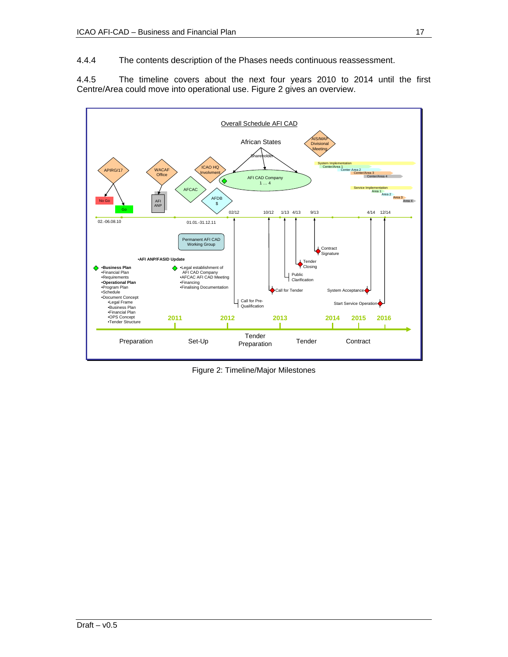4.4.4 The contents description of the Phases needs continuous reassessment.

4.4.5 The timeline covers about the next four years 2010 to 2014 until the first Centre/Area could move into operational use. Figure 2 gives an overview.



Figure 2: Timeline/Major Milestones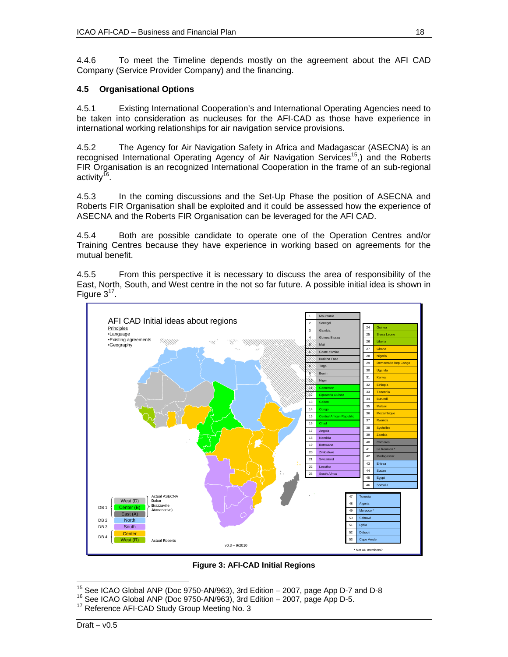4.4.6 To meet the Timeline depends mostly on the agreement about the AFI CAD Company (Service Provider Company) and the financing.

## **4.5 Organisational Options**

4.5.1 Existing International Cooperation's and International Operating Agencies need to be taken into consideration as nucleuses for the AFI-CAD as those have experience in international working relationships for air navigation service provisions.

4.5.2 The Agency for Air Navigation Safety in Africa and Madagascar (ASECNA) is an recognised International Operating Agency of Air Navigation Services<sup>15</sup>,) and the Roberts FIR Organisation is an recognized International Cooperation in the frame of an sub-regional activity<sup>16</sup>.

4.5.3 In the coming discussions and the Set-Up Phase the position of ASECNA and Roberts FIR Organisation shall be exploited and it could be assessed how the experience of ASECNA and the Roberts FIR Organisation can be leveraged for the AFI CAD.

4.5.4 Both are possible candidate to operate one of the Operation Centres and/or Training Centres because they have experience in working based on agreements for the mutual benefit.

4.5.5 From this perspective it is necessary to discuss the area of responsibility of the East, North, South, and West centre in the not so far future. A possible initial idea is shown in Figure  $3^{17}$ .



**Figure 3: AFI-CAD Initial Regions** 

<sup>&</sup>lt;sup>15</sup> See ICAO Global ANP (Doc 9750-AN/963), 3rd Edition - 2007, page App D-7 and D-8

<sup>&</sup>lt;sup>16</sup> See ICAO Global ANP (Doc 9750-AN/963), 3rd Edition – 2007, page App D-5. <sup>17</sup> Reference AFI-CAD Study Group Meeting No. 3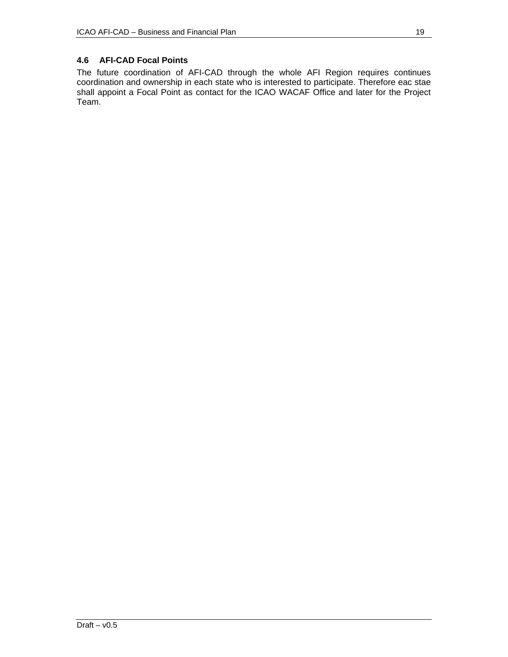## **4.6 AFI-CAD Focal Points**

The future coordination of AFI-CAD through the whole AFI Region requires continues coordination and ownership in each state who is interested to participate. Therefore eac stae shall appoint a Focal Point as contact for the ICAO WACAF Office and later for the Project Team.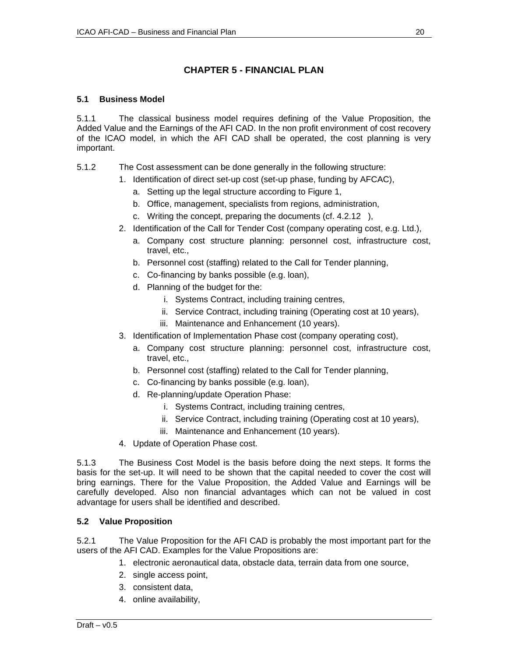## **CHAPTER 5 - FINANCIAL PLAN**

## **5.1 Business Model**

5.1.1 The classical business model requires defining of the Value Proposition, the Added Value and the Earnings of the AFI CAD. In the non profit environment of cost recovery of the ICAO model, in which the AFI CAD shall be operated, the cost planning is very important.

- 5.1.2 The Cost assessment can be done generally in the following structure:
	- 1. Identification of direct set-up cost (set-up phase, funding by AFCAC),
		- a. Setting up the legal structure according to Figure 1,
		- b. Office, management, specialists from regions, administration,
		- c. Writing the concept, preparing the documents (cf. 4.2.12 ),
	- 2. Identification of the Call for Tender Cost (company operating cost, e.g. Ltd.),
		- a. Company cost structure planning: personnel cost, infrastructure cost, travel, etc.,
		- b. Personnel cost (staffing) related to the Call for Tender planning,
		- c. Co-financing by banks possible (e.g. loan),
		- d. Planning of the budget for the:
			- i. Systems Contract, including training centres,
			- ii. Service Contract, including training (Operating cost at 10 years),
			- iii. Maintenance and Enhancement (10 years).
	- 3. Identification of Implementation Phase cost (company operating cost),
		- a. Company cost structure planning: personnel cost, infrastructure cost, travel, etc.,
		- b. Personnel cost (staffing) related to the Call for Tender planning,
		- c. Co-financing by banks possible (e.g. loan),
		- d. Re-planning/update Operation Phase:
			- i. Systems Contract, including training centres,
			- ii. Service Contract, including training (Operating cost at 10 years),
			- iii. Maintenance and Enhancement (10 years).
	- 4. Update of Operation Phase cost.

5.1.3 The Business Cost Model is the basis before doing the next steps. It forms the basis for the set-up. It will need to be shown that the capital needed to cover the cost will bring earnings. There for the Value Proposition, the Added Value and Earnings will be carefully developed. Also non financial advantages which can not be valued in cost advantage for users shall be identified and described.

## **5.2 Value Proposition**

5.2.1 The Value Proposition for the AFI CAD is probably the most important part for the users of the AFI CAD. Examples for the Value Propositions are:

- 1. electronic aeronautical data, obstacle data, terrain data from one source,
- 2. single access point,
- 3. consistent data,
- 4. online availability,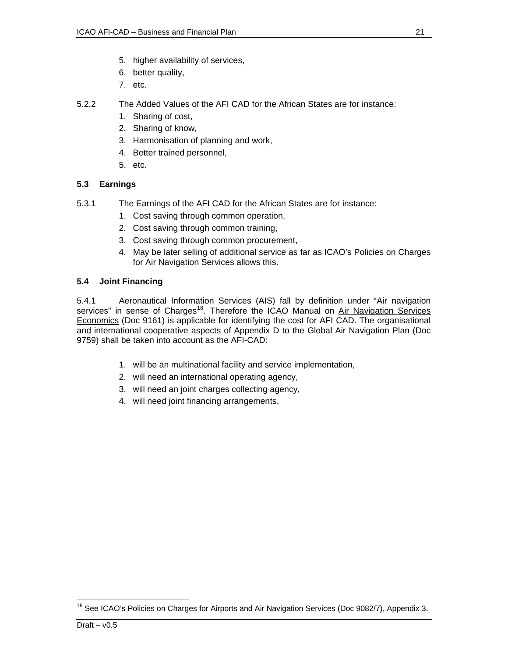- 5. higher availability of services,
- 6. better quality,
- 7. etc.
- 5.2.2 The Added Values of the AFI CAD for the African States are for instance:
	- 1. Sharing of cost,
	- 2. Sharing of know,
	- 3. Harmonisation of planning and work,
	- 4. Better trained personnel,
	- 5. etc.

## **5.3 Earnings**

- 5.3.1 The Earnings of the AFI CAD for the African States are for instance:
	- 1. Cost saving through common operation,
	- 2. Cost saving through common training,
	- 3. Cost saving through common procurement,
	- 4. May be later selling of additional service as far as ICAO's Policies on Charges for Air Navigation Services allows this.

## **5.4 Joint Financing**

5.4.1 Aeronautical Information Services (AIS) fall by definition under "Air navigation services" in sense of Charges<sup>18</sup>. Therefore the ICAO Manual on Air Navigation Services Economics (Doc 9161) is applicable for identifying the cost for AFI CAD. The organisational and international cooperative aspects of Appendix D to the Global Air Navigation Plan (Doc 9759) shall be taken into account as the AFI-CAD:

- 1. will be an multinational facility and service implementation,
- 2. will need an international operating agency,
- 3. will need an joint charges collecting agency,
- 4. will need joint financing arrangements.

 $\overline{a}$ 

<sup>&</sup>lt;sup>18</sup> See ICAO's Policies on Charges for Airports and Air Navigation Services (Doc 9082/7), Appendix 3.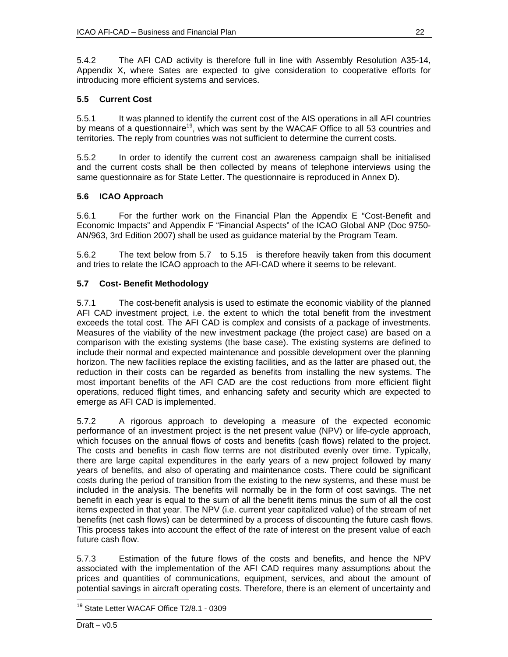5.4.2 The AFI CAD activity is therefore full in line with Assembly Resolution A35-14, Appendix X, where Sates are expected to give consideration to cooperative efforts for introducing more efficient systems and services.

## **5.5 Current Cost**

5.5.1 It was planned to identify the current cost of the AIS operations in all AFI countries by means of a questionnaire<sup>19</sup>, which was sent by the WACAF Office to all 53 countries and territories. The reply from countries was not sufficient to determine the current costs.

5.5.2 In order to identify the current cost an awareness campaign shall be initialised and the current costs shall be then collected by means of telephone interviews using the same questionnaire as for State Letter. The questionnaire is reproduced in Annex D).

## **5.6 ICAO Approach**

5.6.1 For the further work on the Financial Plan the Appendix E "Cost-Benefit and Economic Impacts" and Appendix F "Financial Aspects" of the ICAO Global ANP (Doc 9750- AN/963, 3rd Edition 2007) shall be used as guidance material by the Program Team.

5.6.2 The text below from 5.7 to 5.15 is therefore heavily taken from this document and tries to relate the ICAO approach to the AFI-CAD where it seems to be relevant.

## **5.7 Cost- Benefit Methodology**

5.7.1 The cost-benefit analysis is used to estimate the economic viability of the planned AFI CAD investment project, i.e. the extent to which the total benefit from the investment exceeds the total cost. The AFI CAD is complex and consists of a package of investments. Measures of the viability of the new investment package (the project case) are based on a comparison with the existing systems (the base case). The existing systems are defined to include their normal and expected maintenance and possible development over the planning horizon. The new facilities replace the existing facilities, and as the latter are phased out, the reduction in their costs can be regarded as benefits from installing the new systems. The most important benefits of the AFI CAD are the cost reductions from more efficient flight operations, reduced flight times, and enhancing safety and security which are expected to emerge as AFI CAD is implemented.

5.7.2 A rigorous approach to developing a measure of the expected economic performance of an investment project is the net present value (NPV) or life-cycle approach, which focuses on the annual flows of costs and benefits (cash flows) related to the project. The costs and benefits in cash flow terms are not distributed evenly over time. Typically, there are large capital expenditures in the early years of a new project followed by many years of benefits, and also of operating and maintenance costs. There could be significant costs during the period of transition from the existing to the new systems, and these must be included in the analysis. The benefits will normally be in the form of cost savings. The net benefit in each year is equal to the sum of all the benefit items minus the sum of all the cost items expected in that year. The NPV (i.e. current year capitalized value) of the stream of net benefits (net cash flows) can be determined by a process of discounting the future cash flows. This process takes into account the effect of the rate of interest on the present value of each future cash flow.

5.7.3 Estimation of the future flows of the costs and benefits, and hence the NPV associated with the implementation of the AFI CAD requires many assumptions about the prices and quantities of communications, equipment, services, and about the amount of potential savings in aircraft operating costs. Therefore, there is an element of uncertainty and

 $\overline{a}$ 

<sup>&</sup>lt;sup>19</sup> State Letter WACAF Office T2/8.1 - 0309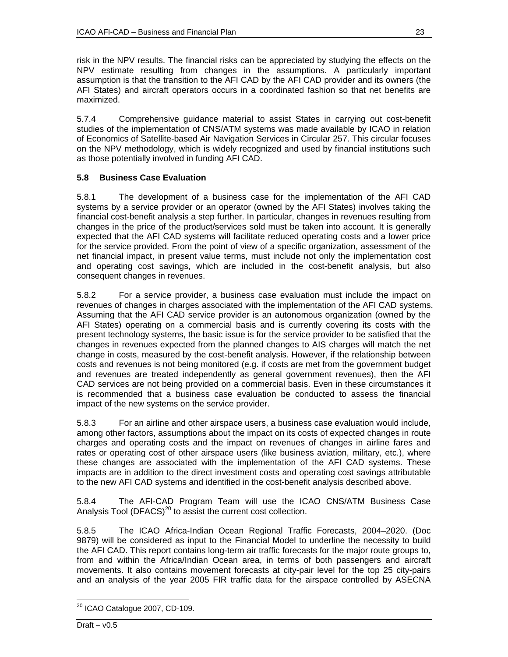risk in the NPV results. The financial risks can be appreciated by studying the effects on the NPV estimate resulting from changes in the assumptions. A particularly important assumption is that the transition to the AFI CAD by the AFI CAD provider and its owners (the AFI States) and aircraft operators occurs in a coordinated fashion so that net benefits are maximized.

5.7.4 Comprehensive guidance material to assist States in carrying out cost-benefit studies of the implementation of CNS/ATM systems was made available by ICAO in relation of Economics of Satellite-based Air Navigation Services in Circular 257. This circular focuses on the NPV methodology, which is widely recognized and used by financial institutions such as those potentially involved in funding AFI CAD.

## **5.8 Business Case Evaluation**

5.8.1 The development of a business case for the implementation of the AFI CAD systems by a service provider or an operator (owned by the AFI States) involves taking the financial cost-benefit analysis a step further. In particular, changes in revenues resulting from changes in the price of the product/services sold must be taken into account. It is generally expected that the AFI CAD systems will facilitate reduced operating costs and a lower price for the service provided. From the point of view of a specific organization, assessment of the net financial impact, in present value terms, must include not only the implementation cost and operating cost savings, which are included in the cost-benefit analysis, but also consequent changes in revenues.

5.8.2 For a service provider, a business case evaluation must include the impact on revenues of changes in charges associated with the implementation of the AFI CAD systems. Assuming that the AFI CAD service provider is an autonomous organization (owned by the AFI States) operating on a commercial basis and is currently covering its costs with the present technology systems, the basic issue is for the service provider to be satisfied that the changes in revenues expected from the planned changes to AIS charges will match the net change in costs, measured by the cost-benefit analysis. However, if the relationship between costs and revenues is not being monitored (e.g. if costs are met from the government budget and revenues are treated independently as general government revenues), then the AFI CAD services are not being provided on a commercial basis. Even in these circumstances it is recommended that a business case evaluation be conducted to assess the financial impact of the new systems on the service provider.

5.8.3 For an airline and other airspace users, a business case evaluation would include, among other factors, assumptions about the impact on its costs of expected changes in route charges and operating costs and the impact on revenues of changes in airline fares and rates or operating cost of other airspace users (like business aviation, military, etc.), where these changes are associated with the implementation of the AFI CAD systems. These impacts are in addition to the direct investment costs and operating cost savings attributable to the new AFI CAD systems and identified in the cost-benefit analysis described above.

5.8.4 The AFI-CAD Program Team will use the ICAO CNS/ATM Business Case Analysis Tool (DFACS)<sup>20</sup> to assist the current cost collection.

5.8.5 The ICAO Africa-Indian Ocean Regional Traffic Forecasts, 2004–2020. (Doc 9879) will be considered as input to the Financial Model to underline the necessity to build the AFI CAD. This report contains long-term air traffic forecasts for the major route groups to, from and within the Africa/Indian Ocean area, in terms of both passengers and aircraft movements. It also contains movement forecasts at city-pair level for the top 25 city-pairs and an analysis of the year 2005 FIR traffic data for the airspace controlled by ASECNA

 $\overline{a}$  $^{20}$  ICAO Catalogue 2007, CD-109.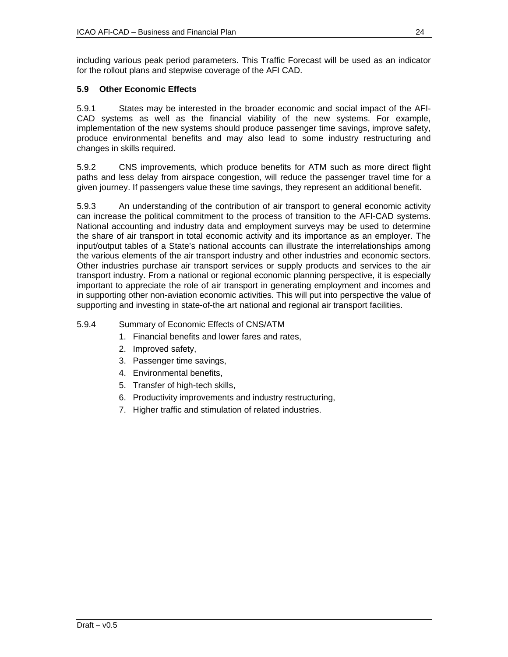including various peak period parameters. This Traffic Forecast will be used as an indicator for the rollout plans and stepwise coverage of the AFI CAD.

## **5.9 Other Economic Effects**

5.9.1 States may be interested in the broader economic and social impact of the AFI-CAD systems as well as the financial viability of the new systems. For example, implementation of the new systems should produce passenger time savings, improve safety, produce environmental benefits and may also lead to some industry restructuring and changes in skills required.

5.9.2 CNS improvements, which produce benefits for ATM such as more direct flight paths and less delay from airspace congestion, will reduce the passenger travel time for a given journey. If passengers value these time savings, they represent an additional benefit.

5.9.3 An understanding of the contribution of air transport to general economic activity can increase the political commitment to the process of transition to the AFI-CAD systems. National accounting and industry data and employment surveys may be used to determine the share of air transport in total economic activity and its importance as an employer. The input/output tables of a State's national accounts can illustrate the interrelationships among the various elements of the air transport industry and other industries and economic sectors. Other industries purchase air transport services or supply products and services to the air transport industry. From a national or regional economic planning perspective, it is especially important to appreciate the role of air transport in generating employment and incomes and in supporting other non-aviation economic activities. This will put into perspective the value of supporting and investing in state-of-the art national and regional air transport facilities.

## 5.9.4 Summary of Economic Effects of CNS/ATM

- 1. Financial benefits and lower fares and rates,
- 2. Improved safety,
- 3. Passenger time savings,
- 4. Environmental benefits,
- 5. Transfer of high-tech skills,
- 6. Productivity improvements and industry restructuring,
- 7. Higher traffic and stimulation of related industries.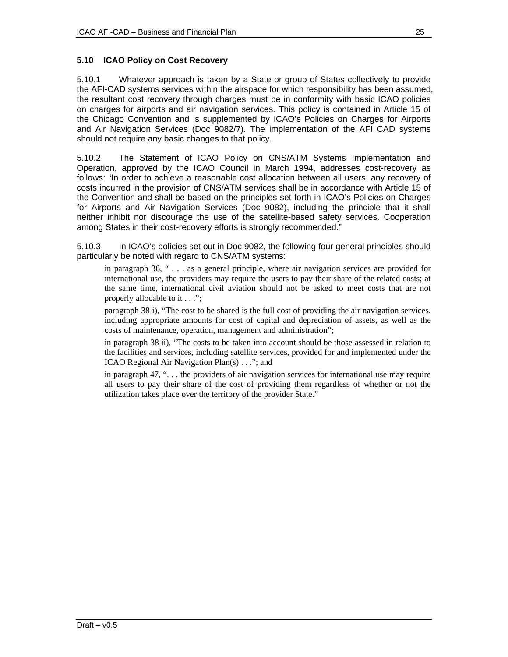## **5.10 ICAO Policy on Cost Recovery**

5.10.1 Whatever approach is taken by a State or group of States collectively to provide the AFI-CAD systems services within the airspace for which responsibility has been assumed, the resultant cost recovery through charges must be in conformity with basic ICAO policies on charges for airports and air navigation services. This policy is contained in Article 15 of the Chicago Convention and is supplemented by ICAO's Policies on Charges for Airports and Air Navigation Services (Doc 9082/7). The implementation of the AFI CAD systems should not require any basic changes to that policy.

5.10.2 The Statement of ICAO Policy on CNS/ATM Systems Implementation and Operation, approved by the ICAO Council in March 1994, addresses cost-recovery as follows: "In order to achieve a reasonable cost allocation between all users, any recovery of costs incurred in the provision of CNS/ATM services shall be in accordance with Article 15 of the Convention and shall be based on the principles set forth in ICAO's Policies on Charges for Airports and Air Navigation Services (Doc 9082), including the principle that it shall neither inhibit nor discourage the use of the satellite-based safety services. Cooperation among States in their cost-recovery efforts is strongly recommended."

5.10.3 In ICAO's policies set out in Doc 9082, the following four general principles should particularly be noted with regard to CNS/ATM systems:

in paragraph 36, " . . . as a general principle, where air navigation services are provided for international use, the providers may require the users to pay their share of the related costs; at the same time, international civil aviation should not be asked to meet costs that are not properly allocable to it . . .";

paragraph 38 i), "The cost to be shared is the full cost of providing the air navigation services, including appropriate amounts for cost of capital and depreciation of assets, as well as the costs of maintenance, operation, management and administration";

in paragraph 38 ii), "The costs to be taken into account should be those assessed in relation to the facilities and services, including satellite services, provided for and implemented under the ICAO Regional Air Navigation Plan(s) . . ."; and

in paragraph 47, ". . . the providers of air navigation services for international use may require all users to pay their share of the cost of providing them regardless of whether or not the utilization takes place over the territory of the provider State."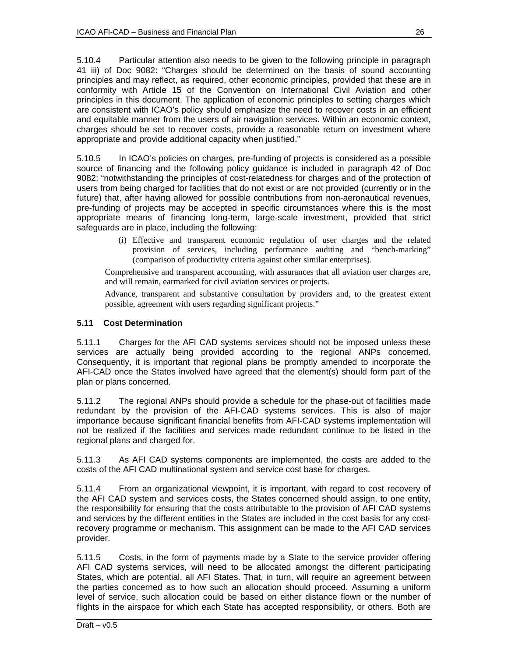5.10.4 Particular attention also needs to be given to the following principle in paragraph 41 iii) of Doc 9082: "Charges should be determined on the basis of sound accounting principles and may reflect, as required, other economic principles, provided that these are in conformity with Article 15 of the Convention on International Civil Aviation and other principles in this document. The application of economic principles to setting charges which are consistent with ICAO's policy should emphasize the need to recover costs in an efficient and equitable manner from the users of air navigation services. Within an economic context, charges should be set to recover costs, provide a reasonable return on investment where appropriate and provide additional capacity when justified."

5.10.5 In ICAO's policies on charges, pre-funding of projects is considered as a possible source of financing and the following policy guidance is included in paragraph 42 of Doc 9082: "notwithstanding the principles of cost-relatedness for charges and of the protection of users from being charged for facilities that do not exist or are not provided (currently or in the future) that, after having allowed for possible contributions from non-aeronautical revenues, pre-funding of projects may be accepted in specific circumstances where this is the most appropriate means of financing long-term, large-scale investment, provided that strict safeguards are in place, including the following:

> (i) Effective and transparent economic regulation of user charges and the related provision of services, including performance auditing and "bench-marking" (comparison of productivity criteria against other similar enterprises).

Comprehensive and transparent accounting, with assurances that all aviation user charges are, and will remain, earmarked for civil aviation services or projects.

Advance, transparent and substantive consultation by providers and, to the greatest extent possible, agreement with users regarding significant projects."

## **5.11 Cost Determination**

5.11.1 Charges for the AFI CAD systems services should not be imposed unless these services are actually being provided according to the regional ANPs concerned. Consequently, it is important that regional plans be promptly amended to incorporate the AFI-CAD once the States involved have agreed that the element(s) should form part of the plan or plans concerned.

5.11.2 The regional ANPs should provide a schedule for the phase-out of facilities made redundant by the provision of the AFI-CAD systems services. This is also of major importance because significant financial benefits from AFI-CAD systems implementation will not be realized if the facilities and services made redundant continue to be listed in the regional plans and charged for.

5.11.3 As AFI CAD systems components are implemented, the costs are added to the costs of the AFI CAD multinational system and service cost base for charges.

5.11.4 From an organizational viewpoint, it is important, with regard to cost recovery of the AFI CAD system and services costs, the States concerned should assign, to one entity, the responsibility for ensuring that the costs attributable to the provision of AFI CAD systems and services by the different entities in the States are included in the cost basis for any costrecovery programme or mechanism. This assignment can be made to the AFI CAD services provider.

5.11.5 Costs, in the form of payments made by a State to the service provider offering AFI CAD systems services, will need to be allocated amongst the different participating States, which are potential, all AFI States. That, in turn, will require an agreement between the parties concerned as to how such an allocation should proceed. Assuming a uniform level of service, such allocation could be based on either distance flown or the number of flights in the airspace for which each State has accepted responsibility, or others. Both are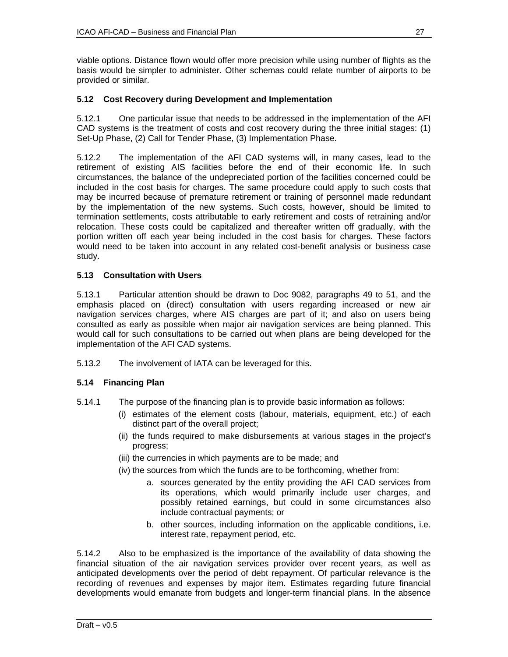viable options. Distance flown would offer more precision while using number of flights as the basis would be simpler to administer. Other schemas could relate number of airports to be provided or similar.

## **5.12 Cost Recovery during Development and Implementation**

5.12.1 One particular issue that needs to be addressed in the implementation of the AFI CAD systems is the treatment of costs and cost recovery during the three initial stages: (1) Set-Up Phase, (2) Call for Tender Phase, (3) Implementation Phase.

5.12.2 The implementation of the AFI CAD systems will, in many cases, lead to the retirement of existing AIS facilities before the end of their economic life. In such circumstances, the balance of the undepreciated portion of the facilities concerned could be included in the cost basis for charges. The same procedure could apply to such costs that may be incurred because of premature retirement or training of personnel made redundant by the implementation of the new systems. Such costs, however, should be limited to termination settlements, costs attributable to early retirement and costs of retraining and/or relocation. These costs could be capitalized and thereafter written off gradually, with the portion written off each year being included in the cost basis for charges. These factors would need to be taken into account in any related cost-benefit analysis or business case study.

## **5.13 Consultation with Users**

5.13.1 Particular attention should be drawn to Doc 9082, paragraphs 49 to 51, and the emphasis placed on (direct) consultation with users regarding increased or new air navigation services charges, where AIS charges are part of it; and also on users being consulted as early as possible when major air navigation services are being planned. This would call for such consultations to be carried out when plans are being developed for the implementation of the AFI CAD systems.

5.13.2 The involvement of IATA can be leveraged for this.

## **5.14 Financing Plan**

- 5.14.1 The purpose of the financing plan is to provide basic information as follows:
	- (i) estimates of the element costs (labour, materials, equipment, etc.) of each distinct part of the overall project;
	- (ii) the funds required to make disbursements at various stages in the project's progress;
	- (iii) the currencies in which payments are to be made; and
	- (iv) the sources from which the funds are to be forthcoming, whether from:
		- a. sources generated by the entity providing the AFI CAD services from its operations, which would primarily include user charges, and possibly retained earnings, but could in some circumstances also include contractual payments; or
		- b. other sources, including information on the applicable conditions, i.e. interest rate, repayment period, etc.

5.14.2 Also to be emphasized is the importance of the availability of data showing the financial situation of the air navigation services provider over recent years, as well as anticipated developments over the period of debt repayment. Of particular relevance is the recording of revenues and expenses by major item. Estimates regarding future financial developments would emanate from budgets and longer-term financial plans. In the absence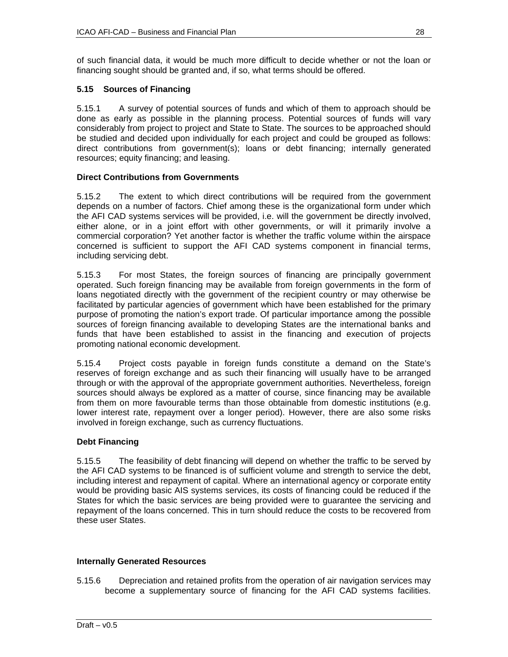of such financial data, it would be much more difficult to decide whether or not the loan or financing sought should be granted and, if so, what terms should be offered.

## **5.15 Sources of Financing**

5.15.1 A survey of potential sources of funds and which of them to approach should be done as early as possible in the planning process. Potential sources of funds will vary considerably from project to project and State to State. The sources to be approached should be studied and decided upon individually for each project and could be grouped as follows: direct contributions from government(s); loans or debt financing; internally generated resources; equity financing; and leasing.

## **Direct Contributions from Governments**

5.15.2 The extent to which direct contributions will be required from the government depends on a number of factors. Chief among these is the organizational form under which the AFI CAD systems services will be provided, i.e. will the government be directly involved, either alone, or in a joint effort with other governments, or will it primarily involve a commercial corporation? Yet another factor is whether the traffic volume within the airspace concerned is sufficient to support the AFI CAD systems component in financial terms, including servicing debt.

5.15.3 For most States, the foreign sources of financing are principally government operated. Such foreign financing may be available from foreign governments in the form of loans negotiated directly with the government of the recipient country or may otherwise be facilitated by particular agencies of government which have been established for the primary purpose of promoting the nation's export trade. Of particular importance among the possible sources of foreign financing available to developing States are the international banks and funds that have been established to assist in the financing and execution of projects promoting national economic development.

5.15.4 Project costs payable in foreign funds constitute a demand on the State's reserves of foreign exchange and as such their financing will usually have to be arranged through or with the approval of the appropriate government authorities. Nevertheless, foreign sources should always be explored as a matter of course, since financing may be available from them on more favourable terms than those obtainable from domestic institutions (e.g. lower interest rate, repayment over a longer period). However, there are also some risks involved in foreign exchange, such as currency fluctuations.

## **Debt Financing**

5.15.5 The feasibility of debt financing will depend on whether the traffic to be served by the AFI CAD systems to be financed is of sufficient volume and strength to service the debt, including interest and repayment of capital. Where an international agency or corporate entity would be providing basic AIS systems services, its costs of financing could be reduced if the States for which the basic services are being provided were to guarantee the servicing and repayment of the loans concerned. This in turn should reduce the costs to be recovered from these user States.

## **Internally Generated Resources**

5.15.6 Depreciation and retained profits from the operation of air navigation services may become a supplementary source of financing for the AFI CAD systems facilities.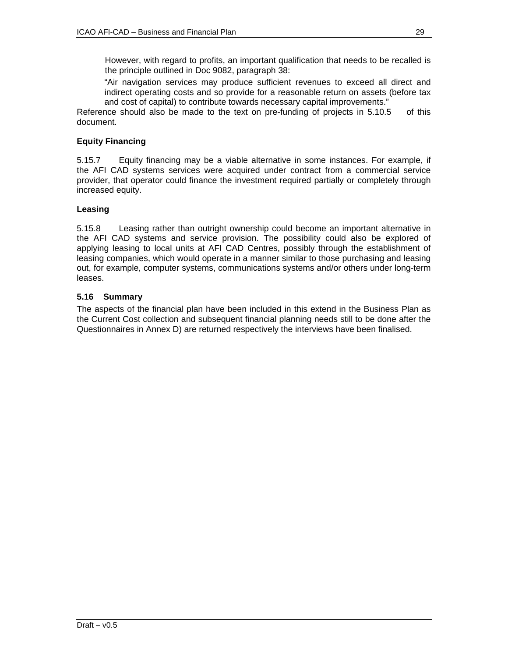However, with regard to profits, an important qualification that needs to be recalled is the principle outlined in Doc 9082, paragraph 38:

"Air navigation services may produce sufficient revenues to exceed all direct and indirect operating costs and so provide for a reasonable return on assets (before tax and cost of capital) to contribute towards necessary capital improvements."

Reference should also be made to the text on pre-funding of projects in 5.10.5 of this document.

## **Equity Financing**

5.15.7 Equity financing may be a viable alternative in some instances. For example, if the AFI CAD systems services were acquired under contract from a commercial service provider, that operator could finance the investment required partially or completely through increased equity.

## **Leasing**

5.15.8 Leasing rather than outright ownership could become an important alternative in the AFI CAD systems and service provision. The possibility could also be explored of applying leasing to local units at AFI CAD Centres, possibly through the establishment of leasing companies, which would operate in a manner similar to those purchasing and leasing out, for example, computer systems, communications systems and/or others under long-term leases.

#### **5.16 Summary**

The aspects of the financial plan have been included in this extend in the Business Plan as the Current Cost collection and subsequent financial planning needs still to be done after the Questionnaires in Annex D) are returned respectively the interviews have been finalised.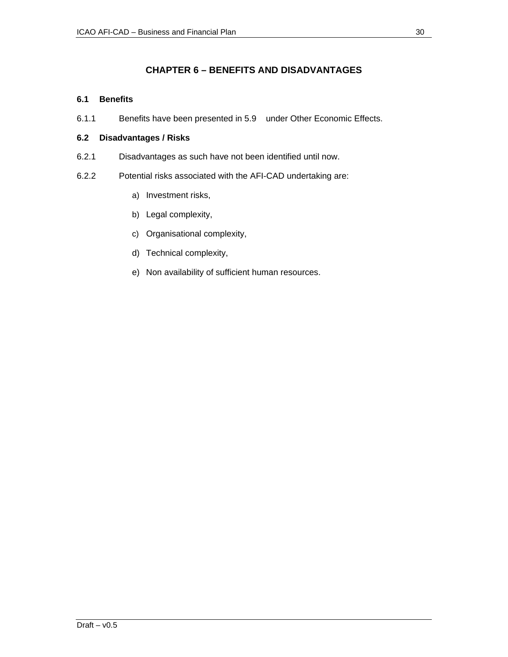## **CHAPTER 6 – BENEFITS AND DISADVANTAGES**

### **6.1 Benefits**

6.1.1 Benefits have been presented in 5.9 under Other Economic Effects.

## **6.2 Disadvantages / Risks**

- 6.2.1 Disadvantages as such have not been identified until now.
- 6.2.2 Potential risks associated with the AFI-CAD undertaking are:
	- a) Investment risks,
	- b) Legal complexity,
	- c) Organisational complexity,
	- d) Technical complexity,
	- e) Non availability of sufficient human resources.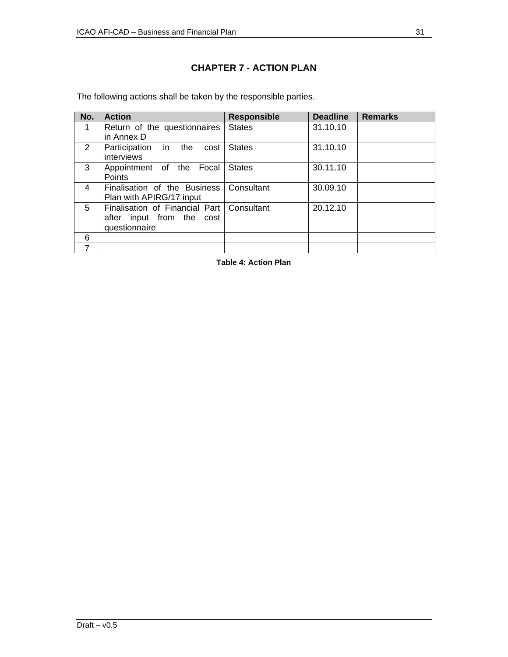## **CHAPTER 7 - ACTION PLAN**

The following actions shall be taken by the responsible parties.

| No.            | <b>Action</b>                                                                  | <b>Responsible</b> | <b>Deadline</b> | <b>Remarks</b> |
|----------------|--------------------------------------------------------------------------------|--------------------|-----------------|----------------|
| 1              | Return of the questionnaires<br>in Annex D                                     | <b>States</b>      | 31.10.10        |                |
| 2              | Participation in the<br>cost<br>interviews                                     | <b>States</b>      | 31.10.10        |                |
| 3              | Appointment of the Focal<br>Points                                             | <b>States</b>      | 30.11.10        |                |
| 4              | Finalisation of the Business<br>Plan with APIRG/17 input                       | Consultant         | 30.09.10        |                |
| 5              | Finalisation of Financial Part I<br>after input from the cost<br>questionnaire | Consultant         | 20.12.10        |                |
| 6              |                                                                                |                    |                 |                |
| $\overline{7}$ |                                                                                |                    |                 |                |

**Table 4: Action Plan**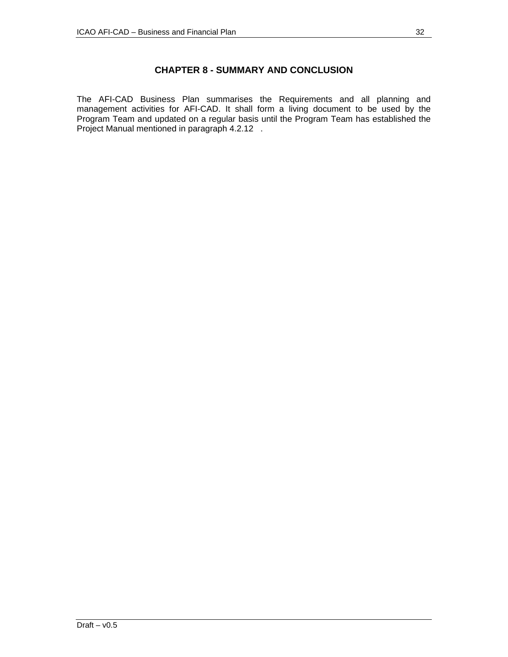## **CHAPTER 8 - SUMMARY AND CONCLUSION**

The AFI-CAD Business Plan summarises the Requirements and all planning and management activities for AFI-CAD. It shall form a living document to be used by the Program Team and updated on a regular basis until the Program Team has established the Project Manual mentioned in paragraph 4.2.12 .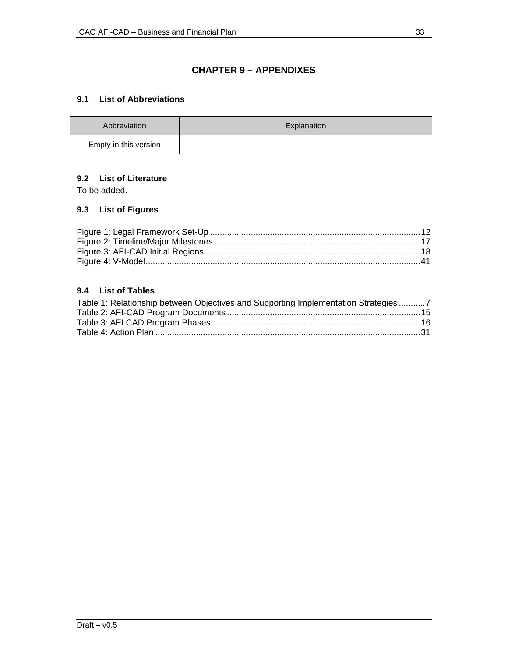## **CHAPTER 9 – APPENDIXES**

## **9.1 List of Abbreviations**

| Abbreviation          | Explanation |
|-----------------------|-------------|
| Empty in this version |             |

## **9.2 List of Literature**

To be added.

## **9.3 List of Figures**

## **9.4 List of Tables**

| Table 1: Relationship between Objectives and Supporting Implementation Strategies7 |  |
|------------------------------------------------------------------------------------|--|
|                                                                                    |  |
|                                                                                    |  |
|                                                                                    |  |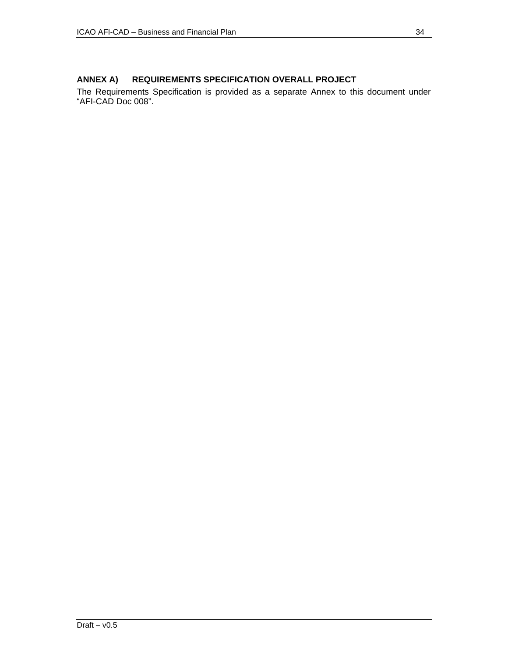## **ANNEX A) REQUIREMENTS SPECIFICATION OVERALL PROJECT**

The Requirements Specification is provided as a separate Annex to this document under "AFI-CAD Doc 008".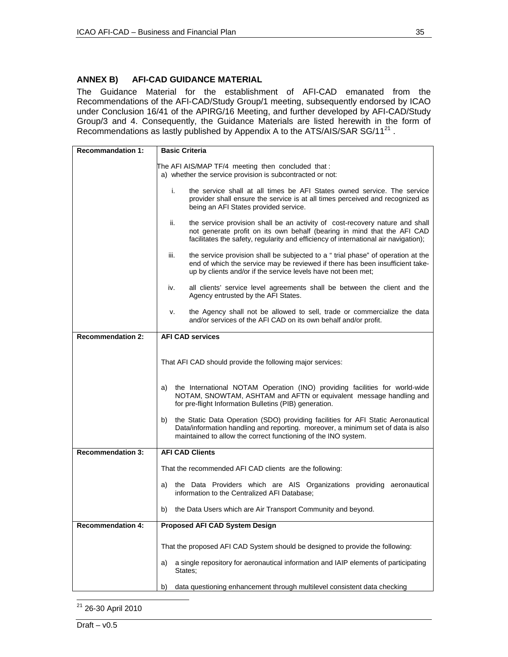## **ANNEX B) AFI-CAD GUIDANCE MATERIAL**

The Guidance Material for the establishment of AFI-CAD emanated from the Recommendations of the AFI-CAD/Study Group/1 meeting, subsequently endorsed by ICAO under Conclusion 16/41 of the APIRG/16 Meeting, and further developed by AFI-CAD/Study Group/3 and 4. Consequently, the Guidance Materials are listed herewith in the form of Recommendations as lastly published by Appendix A to the ATS/AIS/SAR SG/11<sup>21</sup>.

| <b>Recommandation 1:</b> | <b>Basic Criteria</b>                                                                                                                                                                                                                                 |  |  |  |  |  |
|--------------------------|-------------------------------------------------------------------------------------------------------------------------------------------------------------------------------------------------------------------------------------------------------|--|--|--|--|--|
|                          | The AFI AIS/MAP TF/4 meeting then concluded that:<br>a) whether the service provision is subcontracted or not:                                                                                                                                        |  |  |  |  |  |
|                          | i.<br>the service shall at all times be AFI States owned service. The service<br>provider shall ensure the service is at all times perceived and recognized as<br>being an AFI States provided service.                                               |  |  |  |  |  |
|                          | ii.<br>the service provision shall be an activity of cost-recovery nature and shall<br>not generate profit on its own behalf (bearing in mind that the AFI CAD<br>facilitates the safety, regularity and efficiency of international air navigation); |  |  |  |  |  |
|                          | iii.<br>the service provision shall be subjected to a "trial phase" of operation at the<br>end of which the service may be reviewed if there has been insufficient take-<br>up by clients and/or if the service levels have not been met;             |  |  |  |  |  |
|                          | all clients' service level agreements shall be between the client and the<br>iv.<br>Agency entrusted by the AFI States.                                                                                                                               |  |  |  |  |  |
|                          | the Agency shall not be allowed to sell, trade or commercialize the data<br>ν.<br>and/or services of the AFI CAD on its own behalf and/or profit.                                                                                                     |  |  |  |  |  |
| <b>Recommendation 2:</b> | <b>AFI CAD services</b>                                                                                                                                                                                                                               |  |  |  |  |  |
|                          | That AFI CAD should provide the following major services:                                                                                                                                                                                             |  |  |  |  |  |
|                          | the International NOTAM Operation (INO) providing facilities for world-wide<br>a)<br>NOTAM, SNOWTAM, ASHTAM and AFTN or equivalent message handling and<br>for pre-flight Information Bulletins (PIB) generation.                                     |  |  |  |  |  |
|                          | the Static Data Operation (SDO) providing facilities for AFI Static Aeronautical<br>b)<br>Data/information handling and reporting. moreover, a minimum set of data is also<br>maintained to allow the correct functioning of the INO system.          |  |  |  |  |  |
| <b>Recommendation 3:</b> | <b>AFI CAD Clients</b>                                                                                                                                                                                                                                |  |  |  |  |  |
|                          | That the recommended AFI CAD clients are the following:                                                                                                                                                                                               |  |  |  |  |  |
|                          | the Data Providers which are AIS Organizations providing aeronautical<br>a)<br>information to the Centralized AFI Database;                                                                                                                           |  |  |  |  |  |
|                          | the Data Users which are Air Transport Community and beyond.<br>b)                                                                                                                                                                                    |  |  |  |  |  |
| <b>Recommendation 4:</b> | Proposed AFI CAD System Design                                                                                                                                                                                                                        |  |  |  |  |  |
|                          | That the proposed AFI CAD System should be designed to provide the following:                                                                                                                                                                         |  |  |  |  |  |
|                          | a single repository for aeronautical information and IAIP elements of participating<br>a)<br>States:                                                                                                                                                  |  |  |  |  |  |
|                          | data questioning enhancement through multilevel consistent data checking<br>b)                                                                                                                                                                        |  |  |  |  |  |

 $\overline{a}$ <sup>21</sup> 26-30 April 2010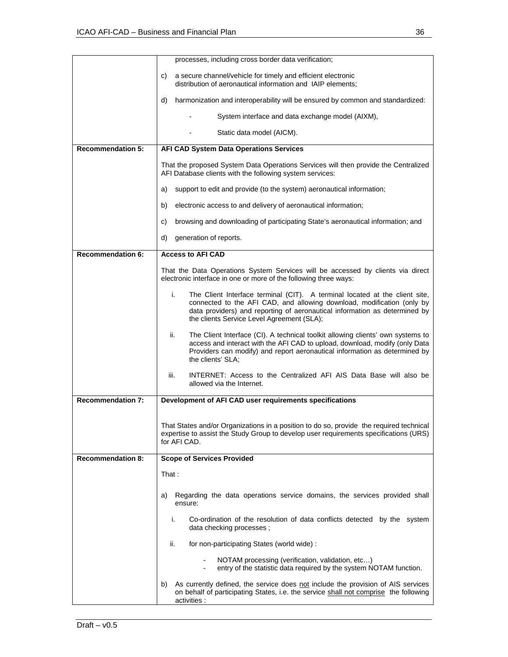|                          | processes, including cross border data verification;                                                                                                                                                                                                                                    |  |  |  |  |
|--------------------------|-----------------------------------------------------------------------------------------------------------------------------------------------------------------------------------------------------------------------------------------------------------------------------------------|--|--|--|--|
|                          | a secure channel/vehicle for timely and efficient electronic<br>C)<br>distribution of aeronautical information and IAIP elements;                                                                                                                                                       |  |  |  |  |
|                          | harmonization and interoperability will be ensured by common and standardized:<br>d)                                                                                                                                                                                                    |  |  |  |  |
|                          | System interface and data exchange model (AIXM),                                                                                                                                                                                                                                        |  |  |  |  |
|                          | Static data model (AICM).                                                                                                                                                                                                                                                               |  |  |  |  |
| <b>Recommendation 5:</b> | AFI CAD System Data Operations Services                                                                                                                                                                                                                                                 |  |  |  |  |
|                          | That the proposed System Data Operations Services will then provide the Centralized<br>AFI Database clients with the following system services:                                                                                                                                         |  |  |  |  |
|                          | support to edit and provide (to the system) aeronautical information;<br>a)                                                                                                                                                                                                             |  |  |  |  |
|                          | b)<br>electronic access to and delivery of aeronautical information;                                                                                                                                                                                                                    |  |  |  |  |
|                          | browsing and downloading of participating State's aeronautical information; and<br>C)                                                                                                                                                                                                   |  |  |  |  |
|                          | generation of reports.<br>d)                                                                                                                                                                                                                                                            |  |  |  |  |
| <b>Recommendation 6:</b> | <b>Access to AFI CAD</b>                                                                                                                                                                                                                                                                |  |  |  |  |
|                          | That the Data Operations System Services will be accessed by clients via direct<br>electronic interface in one or more of the following three ways:                                                                                                                                     |  |  |  |  |
|                          | The Client Interface terminal (CIT). A terminal located at the client site,<br>i.<br>connected to the AFI CAD, and allowing download, modification (only by<br>data providers) and reporting of aeronautical information as determined by<br>the clients Service Level Agreement (SLA); |  |  |  |  |
|                          | The Client Interface (CI). A technical toolkit allowing clients' own systems to<br>ii.<br>access and interact with the AFI CAD to upload, download, modify (only Data<br>Providers can modify) and report aeronautical information as determined by<br>the clients' SLA:                |  |  |  |  |
|                          | INTERNET: Access to the Centralized AFI AIS Data Base will also be<br>iii.<br>allowed via the Internet.                                                                                                                                                                                 |  |  |  |  |
| <b>Recommendation 7:</b> | Development of AFI CAD user requirements specifications                                                                                                                                                                                                                                 |  |  |  |  |
|                          | That States and/or Organizations in a position to do so, provide the required technical<br>expertise to assist the Study Group to develop user requirements specifications (URS)<br>for AFI CAD.                                                                                        |  |  |  |  |
| <b>Recommendation 8:</b> | <b>Scope of Services Provided</b>                                                                                                                                                                                                                                                       |  |  |  |  |
|                          | That :                                                                                                                                                                                                                                                                                  |  |  |  |  |
|                          | Regarding the data operations service domains, the services provided shall<br>a)<br>ensure:                                                                                                                                                                                             |  |  |  |  |
|                          | i.<br>Co-ordination of the resolution of data conflicts detected by the system<br>data checking processes;                                                                                                                                                                              |  |  |  |  |
|                          | for non-participating States (world wide) :<br>ii.                                                                                                                                                                                                                                      |  |  |  |  |
|                          | NOTAM processing (verification, validation, etc)<br>entry of the statistic data required by the system NOTAM function.                                                                                                                                                                  |  |  |  |  |
|                          | As currently defined, the service does not include the provision of AIS services<br>b)<br>on behalf of participating States, i.e. the service shall not comprise the following<br>activities :                                                                                          |  |  |  |  |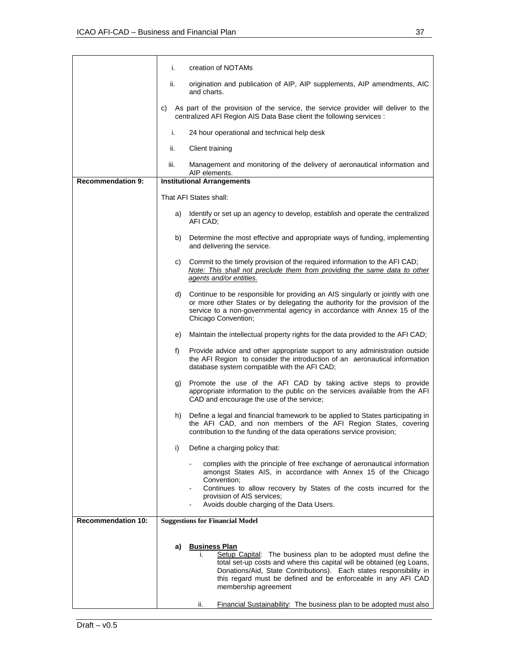|                           | i.                                | creation of NOTAMs                                                                                                                                                                                                                                                                                                             |  |  |  |
|---------------------------|-----------------------------------|--------------------------------------------------------------------------------------------------------------------------------------------------------------------------------------------------------------------------------------------------------------------------------------------------------------------------------|--|--|--|
|                           | ii.                               | origination and publication of AIP, AIP supplements, AIP amendments, AIC<br>and charts.                                                                                                                                                                                                                                        |  |  |  |
|                           | C)                                | As part of the provision of the service, the service provider will deliver to the<br>centralized AFI Region AIS Data Base client the following services :                                                                                                                                                                      |  |  |  |
|                           | i.                                | 24 hour operational and technical help desk                                                                                                                                                                                                                                                                                    |  |  |  |
|                           | ii.                               | <b>Client training</b>                                                                                                                                                                                                                                                                                                         |  |  |  |
|                           | iii.                              | Management and monitoring of the delivery of aeronautical information and<br>AIP elements.                                                                                                                                                                                                                                     |  |  |  |
| <b>Recommendation 9:</b>  | <b>Institutional Arrangements</b> |                                                                                                                                                                                                                                                                                                                                |  |  |  |
|                           | That AFI States shall:            |                                                                                                                                                                                                                                                                                                                                |  |  |  |
|                           | a)                                | Identify or set up an agency to develop, establish and operate the centralized<br>AFI CAD;                                                                                                                                                                                                                                     |  |  |  |
|                           | b)                                | Determine the most effective and appropriate ways of funding, implementing<br>and delivering the service.                                                                                                                                                                                                                      |  |  |  |
|                           | C)                                | Commit to the timely provision of the required information to the AFI CAD;<br>Note: This shall not preclude them from providing the same data to other<br>agents and/or entities.                                                                                                                                              |  |  |  |
|                           | d)                                | Continue to be responsible for providing an AIS singularly or jointly with one<br>or more other States or by delegating the authority for the provision of the<br>service to a non-governmental agency in accordance with Annex 15 of the<br>Chicago Convention;                                                               |  |  |  |
|                           | e)                                | Maintain the intellectual property rights for the data provided to the AFI CAD;                                                                                                                                                                                                                                                |  |  |  |
|                           | f)                                | Provide advice and other appropriate support to any administration outside<br>the AFI Region to consider the introduction of an aeronautical information<br>database system compatible with the AFI CAD;                                                                                                                       |  |  |  |
|                           | g)                                | Promote the use of the AFI CAD by taking active steps to provide<br>appropriate information to the public on the services available from the AFI<br>CAD and encourage the use of the service;                                                                                                                                  |  |  |  |
|                           | h)                                | Define a legal and financial framework to be applied to States participating in<br>the AFI CAD, and non members of the AFI Region States, covering<br>contribution to the funding of the data operations service provision;                                                                                                    |  |  |  |
|                           | i)                                | Define a charging policy that:                                                                                                                                                                                                                                                                                                 |  |  |  |
|                           |                                   | complies with the principle of free exchange of aeronautical information<br>amongst States AIS, in accordance with Annex 15 of the Chicago<br>Convention;<br>Continues to allow recovery by States of the costs incurred for the<br>provision of AIS services;<br>Avoids double charging of the Data Users.                    |  |  |  |
| <b>Recommendation 10:</b> |                                   | <b>Suggestions for Financial Model</b>                                                                                                                                                                                                                                                                                         |  |  |  |
|                           | a)                                | <b>Business Plan</b><br>Setup Capital: The business plan to be adopted must define the<br>total set-up costs and where this capital will be obtained (eg Loans,<br>Donations/Aid, State Contributions). Each states responsibility in<br>this regard must be defined and be enforceable in any AFI CAD<br>membership agreement |  |  |  |
|                           |                                   | ii.<br>Financial Sustainability: The business plan to be adopted must also                                                                                                                                                                                                                                                     |  |  |  |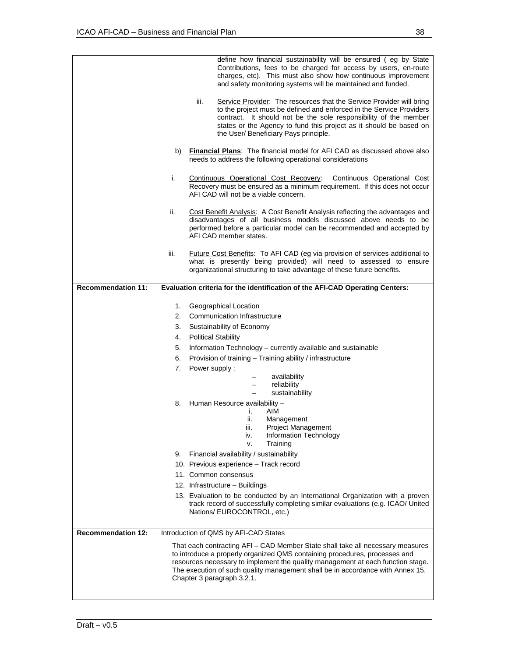|                           |      | define how financial sustainability will be ensured (eg by State<br>Contributions, fees to be charged for access by users, en-route<br>charges, etc). This must also show how continuous improvement<br>and safety monitoring systems will be maintained and funded.                                                                                            |  |  |  |  |
|---------------------------|------|-----------------------------------------------------------------------------------------------------------------------------------------------------------------------------------------------------------------------------------------------------------------------------------------------------------------------------------------------------------------|--|--|--|--|
|                           |      | iii.<br>Service Provider: The resources that the Service Provider will bring<br>to the project must be defined and enforced in the Service Providers<br>contract. It should not be the sole responsibility of the member<br>states or the Agency to fund this project as it should be based on<br>the User/ Beneficiary Pays principle.                         |  |  |  |  |
|                           | b)   | <b>Financial Plans:</b> The financial model for AFI CAD as discussed above also<br>needs to address the following operational considerations<br>Continuous Operational Cost Recovery:<br>Continuous Operational Cost<br>Recovery must be ensured as a minimum requirement. If this does not occur<br>AFI CAD will not be a viable concern.                      |  |  |  |  |
|                           | i.   |                                                                                                                                                                                                                                                                                                                                                                 |  |  |  |  |
|                           | ii.  | Cost Benefit Analysis: A Cost Benefit Analysis reflecting the advantages and<br>disadvantages of all business models discussed above needs to be<br>performed before a particular model can be recommended and accepted by<br>AFI CAD member states.                                                                                                            |  |  |  |  |
|                           | iii. | Future Cost Benefits: To AFI CAD (eg via provision of services additional to<br>what is presently being provided) will need to assessed to ensure<br>organizational structuring to take advantage of these future benefits.                                                                                                                                     |  |  |  |  |
| <b>Recommendation 11:</b> |      | Evaluation criteria for the identification of the AFI-CAD Operating Centers:                                                                                                                                                                                                                                                                                    |  |  |  |  |
|                           | 1.   | Geographical Location                                                                                                                                                                                                                                                                                                                                           |  |  |  |  |
|                           | 2.   | Communication Infrastructure                                                                                                                                                                                                                                                                                                                                    |  |  |  |  |
|                           | 3.   | Sustainability of Economy                                                                                                                                                                                                                                                                                                                                       |  |  |  |  |
|                           | 4.   | <b>Political Stability</b>                                                                                                                                                                                                                                                                                                                                      |  |  |  |  |
|                           | 5.   | Information Technology - currently available and sustainable                                                                                                                                                                                                                                                                                                    |  |  |  |  |
|                           | 6.   | Provision of training - Training ability / infrastructure                                                                                                                                                                                                                                                                                                       |  |  |  |  |
|                           | 7.   | Power supply:                                                                                                                                                                                                                                                                                                                                                   |  |  |  |  |
|                           |      | availability                                                                                                                                                                                                                                                                                                                                                    |  |  |  |  |
|                           |      | reliability                                                                                                                                                                                                                                                                                                                                                     |  |  |  |  |
|                           |      | sustainability                                                                                                                                                                                                                                                                                                                                                  |  |  |  |  |
|                           | 8.   | Human Resource availability -<br>AIM<br>i.<br>ii.<br>Management<br>iii.<br><b>Project Management</b><br>Information Technology<br>iv.                                                                                                                                                                                                                           |  |  |  |  |
|                           |      | Training<br>v.                                                                                                                                                                                                                                                                                                                                                  |  |  |  |  |
|                           | 9.   | Financial availability / sustainability                                                                                                                                                                                                                                                                                                                         |  |  |  |  |
|                           |      | 10. Previous experience - Track record                                                                                                                                                                                                                                                                                                                          |  |  |  |  |
|                           |      | 11. Common consensus                                                                                                                                                                                                                                                                                                                                            |  |  |  |  |
|                           |      | 12. Infrastructure - Buildings                                                                                                                                                                                                                                                                                                                                  |  |  |  |  |
|                           |      | 13. Evaluation to be conducted by an International Organization with a proven<br>track record of successfully completing similar evaluations (e.g. ICAO/ United<br>Nations/ EUROCONTROL, etc.)                                                                                                                                                                  |  |  |  |  |
| <b>Recommendation 12:</b> |      | Introduction of QMS by AFI-CAD States                                                                                                                                                                                                                                                                                                                           |  |  |  |  |
|                           |      | That each contracting AFI – CAD Member State shall take all necessary measures<br>to introduce a properly organized QMS containing procedures, processes and<br>resources necessary to implement the quality management at each function stage.<br>The execution of such quality management shall be in accordance with Annex 15,<br>Chapter 3 paragraph 3.2.1. |  |  |  |  |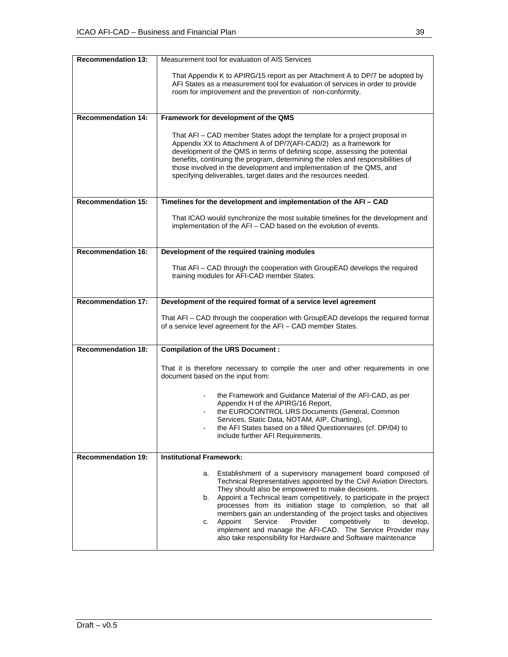| <b>Recommendation 13:</b> | Measurement tool for evaluation of AIS Services                                                                                                                                                                                                                                                                                                                                                                                                                                                                                                                                                                             |  |  |  |
|---------------------------|-----------------------------------------------------------------------------------------------------------------------------------------------------------------------------------------------------------------------------------------------------------------------------------------------------------------------------------------------------------------------------------------------------------------------------------------------------------------------------------------------------------------------------------------------------------------------------------------------------------------------------|--|--|--|
|                           | That Appendix K to APIRG/15 report as per Attachment A to DP/7 be adopted by<br>AFI States as a measurement tool for evaluation of services in order to provide<br>room for improvement and the prevention of non-conformity.                                                                                                                                                                                                                                                                                                                                                                                               |  |  |  |
| <b>Recommendation 14:</b> | Framework for development of the QMS                                                                                                                                                                                                                                                                                                                                                                                                                                                                                                                                                                                        |  |  |  |
|                           | That AFI – CAD member States adopt the template for a project proposal in<br>Appendix XX to Attachment A of DP/7(AFI-CAD/2) as a framework for<br>development of the QMS in terms of defining scope, assessing the potential<br>benefits, continuing the program, determining the roles and responsibilities of<br>those involved in the development and implementation of the QMS, and<br>specifying deliverables, target dates and the resources needed.                                                                                                                                                                  |  |  |  |
| <b>Recommendation 15:</b> | Timelines for the development and implementation of the AFI - CAD                                                                                                                                                                                                                                                                                                                                                                                                                                                                                                                                                           |  |  |  |
|                           | That ICAO would synchronize the most suitable timelines for the development and<br>implementation of the AFI - CAD based on the evolution of events.                                                                                                                                                                                                                                                                                                                                                                                                                                                                        |  |  |  |
| <b>Recommendation 16:</b> | Development of the required training modules                                                                                                                                                                                                                                                                                                                                                                                                                                                                                                                                                                                |  |  |  |
|                           | That AFI – CAD through the cooperation with GroupEAD develops the required<br>training modules for AFI-CAD member States.                                                                                                                                                                                                                                                                                                                                                                                                                                                                                                   |  |  |  |
| <b>Recommendation 17:</b> | Development of the required format of a service level agreement                                                                                                                                                                                                                                                                                                                                                                                                                                                                                                                                                             |  |  |  |
|                           | That AFI – CAD through the cooperation with GroupEAD develops the required format<br>of a service level agreement for the AFI - CAD member States.                                                                                                                                                                                                                                                                                                                                                                                                                                                                          |  |  |  |
| <b>Recommendation 18:</b> | <b>Compilation of the URS Document:</b>                                                                                                                                                                                                                                                                                                                                                                                                                                                                                                                                                                                     |  |  |  |
|                           | That it is therefore necessary to compile the user and other requirements in one<br>document based on the input from:                                                                                                                                                                                                                                                                                                                                                                                                                                                                                                       |  |  |  |
|                           | the Framework and Guidance Material of the AFI-CAD, as per<br>Appendix H of the APIRG/16 Report,<br>the EUROCONTROL URS Documents (General, Common<br>Services, Static Data, NOTAM, AIP, Charting),<br>the AFI States based on a filled Questionnaires (cf. DP/04) to<br>include further AFI Requirements.                                                                                                                                                                                                                                                                                                                  |  |  |  |
| <b>Recommendation 19:</b> | <b>Institutional Framework:</b>                                                                                                                                                                                                                                                                                                                                                                                                                                                                                                                                                                                             |  |  |  |
|                           | Establishment of a supervisory management board composed of<br>a.<br>Technical Representatives appointed by the Civil Aviation Directors.<br>They should also be empowered to make decisions.<br>b. Appoint a Technical team competitively, to participate in the project<br>processes from its initiation stage to completion, so that all<br>members gain an understanding of the project tasks and objectives<br>Service<br>Provider<br>competitively<br>Appoint<br>to<br>develop,<br>C.<br>implement and manage the AFI-CAD. The Service Provider may<br>also take responsibility for Hardware and Software maintenance |  |  |  |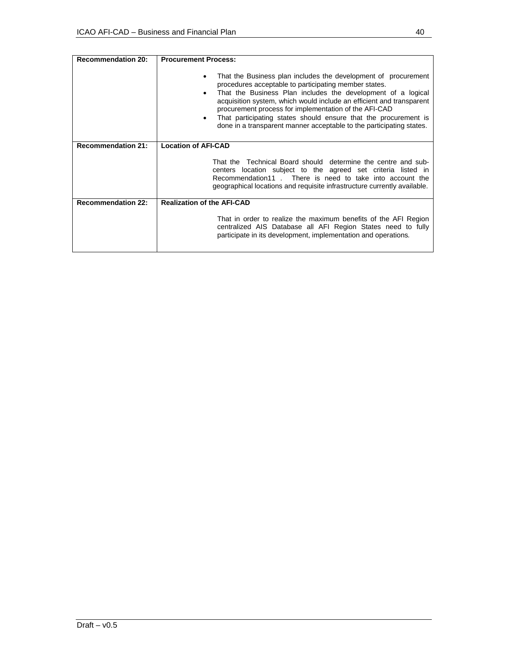| <b>Recommendation 20:</b> | <b>Procurement Process:</b>                                                                                                                                                                                                                                                                                                                                                                                                                                              |  |  |  |  |
|---------------------------|--------------------------------------------------------------------------------------------------------------------------------------------------------------------------------------------------------------------------------------------------------------------------------------------------------------------------------------------------------------------------------------------------------------------------------------------------------------------------|--|--|--|--|
|                           | That the Business plan includes the development of procurement<br>procedures acceptable to participating member states.<br>That the Business Plan includes the development of a logical<br>٠<br>acquisition system, which would include an efficient and transparent<br>procurement process for implementation of the AFI-CAD<br>That participating states should ensure that the procurement is<br>done in a transparent manner acceptable to the participating states. |  |  |  |  |
| <b>Recommendation 21:</b> | <b>Location of AFI-CAD</b>                                                                                                                                                                                                                                                                                                                                                                                                                                               |  |  |  |  |
|                           | That the Technical Board should determine the centre and sub-<br>centers location subject to the agreed set criteria listed in<br>Recommendation11. There is need to take into account the<br>geographical locations and requisite infrastructure currently available.                                                                                                                                                                                                   |  |  |  |  |
| <b>Recommendation 22:</b> | <b>Realization of the AFI-CAD</b>                                                                                                                                                                                                                                                                                                                                                                                                                                        |  |  |  |  |
|                           | That in order to realize the maximum benefits of the AFI Region<br>centralized AIS Database all AFI Region States need to fully<br>participate in its development, implementation and operations.                                                                                                                                                                                                                                                                        |  |  |  |  |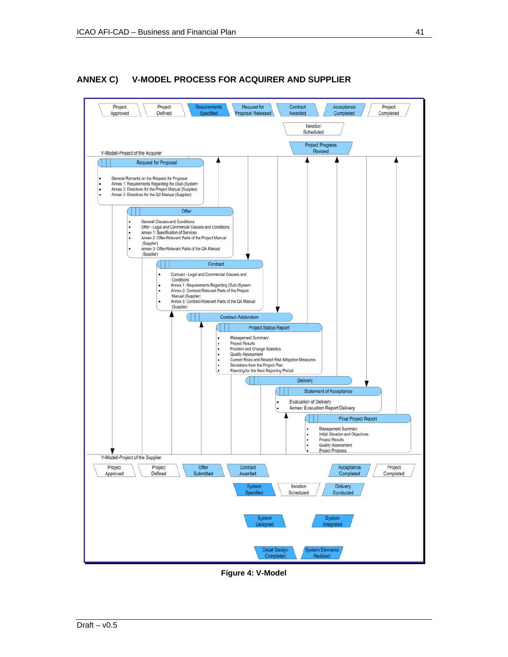

## **ANNEX C) V-MODEL PROCESS FOR ACQUIRER AND SUPPLIER**

**Figure 4: V-Model**